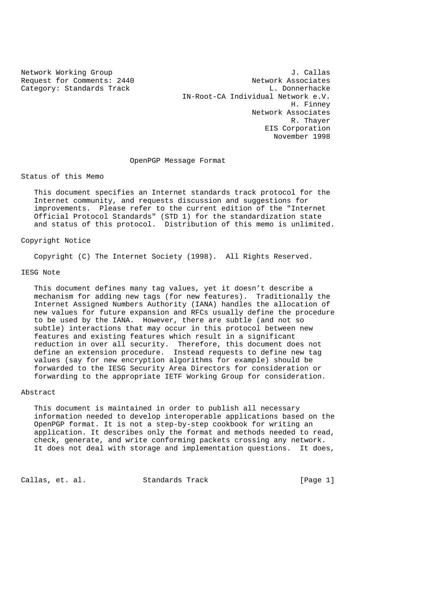Category: Standards Track

Network Working Group J. Callas<br>Request for Comments: 2440 Metwork Associates Request for Comments: 2440 Network Associates<br>
Category: Standards Track Methods B. Donnerhacke IN-Root-CA Individual Network e.V. H. Finney Network Associates R. Thayer EIS Corporation November 1998

### OpenPGP Message Format

Status of this Memo

 This document specifies an Internet standards track protocol for the Internet community, and requests discussion and suggestions for improvements. Please refer to the current edition of the "Internet Official Protocol Standards" (STD 1) for the standardization state and status of this protocol. Distribution of this memo is unlimited.

Copyright Notice

Copyright (C) The Internet Society (1998). All Rights Reserved.

# IESG Note

 This document defines many tag values, yet it doesn't describe a mechanism for adding new tags (for new features). Traditionally the Internet Assigned Numbers Authority (IANA) handles the allocation of new values for future expansion and RFCs usually define the procedure to be used by the IANA. However, there are subtle (and not so subtle) interactions that may occur in this protocol between new features and existing features which result in a significant reduction in over all security. Therefore, this document does not define an extension procedure. Instead requests to define new tag values (say for new encryption algorithms for example) should be forwarded to the IESG Security Area Directors for consideration or forwarding to the appropriate IETF Working Group for consideration.

### Abstract

 This document is maintained in order to publish all necessary information needed to develop interoperable applications based on the OpenPGP format. It is not a step-by-step cookbook for writing an application. It describes only the format and methods needed to read, check, generate, and write conforming packets crossing any network. It does not deal with storage and implementation questions. It does,

Callas, et. al. Standards Track [Page 1]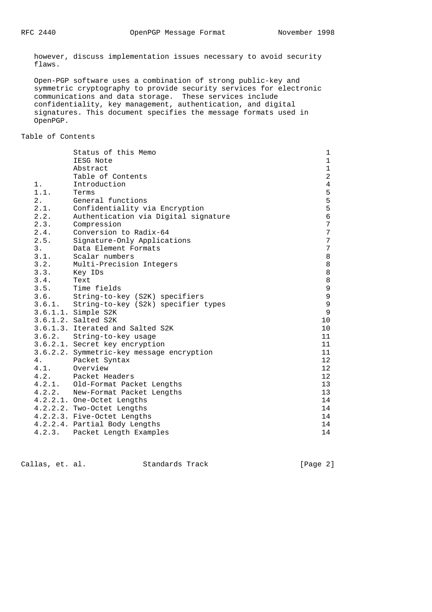however, discuss implementation issues necessary to avoid security flaws.

 Open-PGP software uses a combination of strong public-key and symmetric cryptography to provide security services for electronic communications and data storage. These services include confidentiality, key management, authentication, and digital signatures. This document specifies the message formats used in OpenPGP.

Table of Contents

|        | Status of this Memo                        | 1               |
|--------|--------------------------------------------|-----------------|
|        | IESG Note                                  | $\mathbf{1}$    |
|        | Abstract                                   | $\mathbf{1}$    |
|        | Table of Contents                          | $\overline{a}$  |
| 1.     | Introduction                               | $\overline{4}$  |
| 1.1.   | Terms                                      | 5               |
| 2.     | General functions                          | 5               |
| 2.1.   | Confidentiality via Encryption             | 5               |
| 2.2.   | Authentication via Digital signature       | 6               |
| 2.3.   | Compression                                | 7               |
| 2.4.   | Conversion to Radix-64                     | $\overline{7}$  |
| 2.5.   | Signature-Only Applications                | $\overline{7}$  |
| 3.     | Data Element Formats                       | $\sqrt{ }$      |
| 3.1.   | Scalar numbers                             | $\,8\,$         |
| 3.2.   | Multi-Precision Integers                   | 8               |
| 3.3.   | Key IDs                                    | 8               |
| 3.4.   | Text                                       | $\,8\,$         |
|        | 3.5. Time fields                           | $\mathsf 9$     |
| 3.6.   | String-to-key (S2K) specifiers             | $\mathsf 9$     |
|        | 3.6.1. String-to-key (S2k) specifier types | $\overline{9}$  |
|        | 3.6.1.1. Simple S2K                        | $\overline{9}$  |
|        | 3.6.1.2. Salted S2K                        | 10              |
|        | 3.6.1.3. Iterated and Salted S2K           | 10              |
|        | 3.6.2. String-to-key usage                 | 11              |
|        | 3.6.2.1. Secret key encryption             | 11              |
|        | 3.6.2.2. Symmetric-key message encryption  | 11              |
| 4.     | Packet Syntax                              | 12              |
| 4.1.   | Overview                                   | 12              |
| 4.2.   | Packet Headers                             | 12 <sup>°</sup> |
|        | 4.2.1. Old-Format Packet Lengths           | 13              |
|        | 4.2.2. New-Format Packet Lengths           | 13              |
|        | 4.2.2.1. One-Octet Lengths                 | 14              |
|        | 4.2.2.2. Two-Octet Lengths                 | 14              |
|        | 4.2.2.3. Five-Octet Lengths                | 14              |
|        | 4.2.2.4. Partial Body Lengths              | 14              |
| 4.2.3. | Packet Length Examples                     | 14              |

Callas, et. al. Standards Track [Page 2]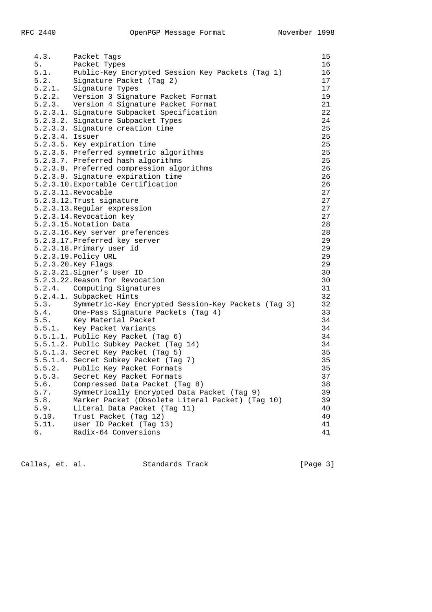|                 | 4.3. Packet Tags                                         | 15 |
|-----------------|----------------------------------------------------------|----|
|                 | 5. Packet Types                                          | 16 |
|                 |                                                          | 16 |
|                 | 5.1. Public-Key Encrypted Session Key Packets (Tag 1)    |    |
|                 | 5.2. Signature Packet (Tag 2)<br>5.2.1. Signature Types  | 17 |
|                 |                                                          | 17 |
|                 | 5.2.2. Version 3 Signature Packet Format                 | 19 |
|                 | 5.2.3. Version 4 Signature Packet Format                 | 21 |
|                 | 5.2.3.1. Signature Subpacket Specification               | 22 |
|                 | 5.2.3.2. Signature Subpacket Types                       | 24 |
|                 |                                                          |    |
|                 | 5.2.3.3. Signature creation time                         | 25 |
| 5.2.3.4. Issuer |                                                          | 25 |
|                 | 5.2.3.5. Key expiration time                             | 25 |
|                 | 5.2.3.6. Preferred symmetric algorithms                  | 25 |
|                 | 5.2.3.7. Preferred hash algorithms                       | 25 |
|                 | 5.2.3.8. Preferred compression algorithms                | 26 |
|                 | 5.2.3.9. Signature expiration time                       | 26 |
|                 |                                                          |    |
|                 | 5.2.3.10. Exportable Certification                       | 26 |
|                 | 5.2.3.11. Revocable                                      | 27 |
|                 | 5.2.3.12. Trust signature                                | 27 |
|                 | 5.2.3.13. Regular expression                             | 27 |
|                 | 5.2.3.14. Revocation key                                 | 27 |
|                 | 5.2.3.15. Notation Data                                  | 28 |
|                 | 5.2.3.16. Key server preferences                         | 28 |
|                 |                                                          |    |
|                 | 5.2.3.17. Preferred key server                           | 29 |
|                 | 5.2.3.18. Primary user id                                | 29 |
|                 | 5.2.3.19. Policy URL                                     | 29 |
|                 | 5.2.3.20. Key Flags                                      | 29 |
|                 | 5.2.3.21. Signer's User ID                               | 30 |
|                 | 5.2.3.22. Reason for Revocation                          | 30 |
|                 | 5.2.4. Computing Signatures                              | 31 |
|                 | 5.2.4.1. Subpacket Hints                                 |    |
|                 |                                                          | 32 |
|                 | 5.3. Symmetric-Key Encrypted Session-Key Packets (Tag 3) | 32 |
|                 | 5.4. One-Pass Signature Packets (Tag 4)                  | 33 |
|                 | 5.5. Key Material Packet                                 | 34 |
|                 | 5.5.1. Key Packet Variants                               | 34 |
|                 | 5.5.1.1. Public Key Packet (Tag 6)                       | 34 |
|                 | 5.5.1.2. Public Subkey Packet (Tag 14)                   | 34 |
|                 | 5.5.1.3. Secret Key Packet (Tag 5)                       | 35 |
|                 |                                                          | 35 |
|                 | 5.5.1.4. Secret Subkey Packet (Tag 7)                    |    |
|                 | 5.5.2. Public Key Packet Formats                         | 35 |
|                 | 5.5.3. Secret Key Packet Formats                         | 37 |
| 5.6.            | Compressed Data Packet (Tag 8)                           | 38 |
| 5.7.            | Symmetrically Encrypted Data Packet (Tag 9)              | 39 |
| 5.8.            | Marker Packet (Obsolete Literal Packet) (Tag 10)         | 39 |
| 5.9.            | Literal Data Packet (Tag 11)                             | 40 |
| 5.10.           | Trust Packet (Tag 12)                                    | 40 |
|                 |                                                          |    |
| 5.11.           | User ID Packet (Tag 13)                                  | 41 |
| б.              | Radix-64 Conversions                                     | 41 |

Callas, et. al. Standards Track [Page 3]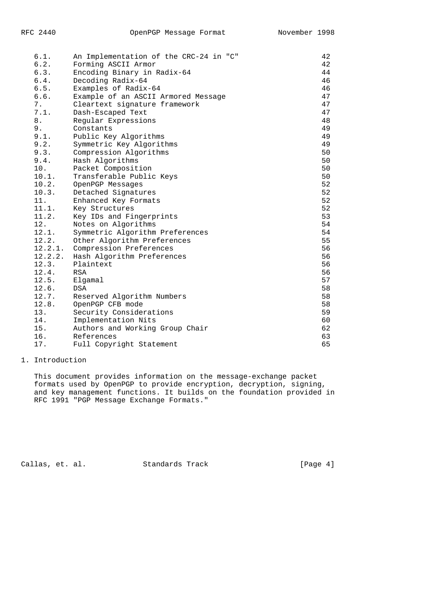| 6.1.    | An Implementation of the CRC-24 in "C" | 42 |
|---------|----------------------------------------|----|
| 6.2.    | Forming ASCII Armor                    | 42 |
| 6.3.    | Encoding Binary in Radix-64            | 44 |
| 6.4.    | Decoding Radix-64                      | 46 |
| 6.5.    | Examples of Radix-64                   | 46 |
| 6.6.    | Example of an ASCII Armored Message    | 47 |
| 7.      | Cleartext signature framework          | 47 |
| 7.1.    | Dash-Escaped Text                      | 47 |
| 8.      | Regular Expressions                    | 48 |
| 9.      | Constants                              | 49 |
| 9.1.    | Public Key Algorithms                  | 49 |
| 9.2.    | Symmetric Key Algorithms               | 49 |
| 9.3.    | Compression Algorithms                 | 50 |
| 9.4.    | Hash Algorithms                        | 50 |
| 10.     | Packet Composition                     | 50 |
| 10.1.   | Transferable Public Keys               | 50 |
| 10.2.   | OpenPGP Messages                       | 52 |
| 10.3.   | Detached Signatures                    | 52 |
| 11.     | Enhanced Key Formats                   | 52 |
| 11.1.   | Key Structures                         | 52 |
| 11.2.   | Key IDs and Fingerprints               | 53 |
| 12.     | Notes on Algorithms                    | 54 |
| 12.1.   | Symmetric Algorithm Preferences        | 54 |
| 12.2.   | Other Algorithm Preferences            | 55 |
| 12.2.1. | Compression Preferences                | 56 |
| 12.2.2. | Hash Algorithm Preferences             | 56 |
| 12.3.   | Plaintext                              | 56 |
| 12.4.   | <b>RSA</b>                             | 56 |
| 12.5.   | Elgamal                                | 57 |
| 12.6.   | DSA                                    | 58 |
| 12.7.   | Reserved Algorithm Numbers             | 58 |
| 12.8.   | OpenPGP CFB mode                       | 58 |
| 13.     | Security Considerations                | 59 |
| 14.     | Implementation Nits                    | 60 |
| 15.     | Authors and Working Group Chair        | 62 |
| 16.     | References                             | 63 |
| 17.     | Full Copyright Statement               | 65 |

## 1. Introduction

 This document provides information on the message-exchange packet formats used by OpenPGP to provide encryption, decryption, signing, and key management functions. It builds on the foundation provided in RFC 1991 "PGP Message Exchange Formats."

Callas, et. al. Standards Track [Page 4]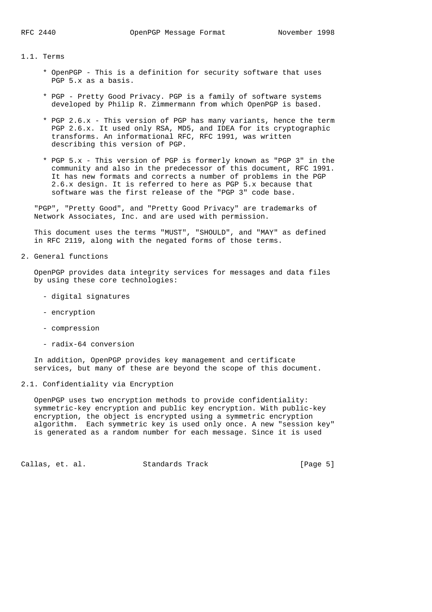1.1. Terms

- \* OpenPGP This is a definition for security software that uses PGP 5.x as a basis.
- \* PGP Pretty Good Privacy. PGP is a family of software systems developed by Philip R. Zimmermann from which OpenPGP is based.
- \* PGP 2.6.x This version of PGP has many variants, hence the term PGP 2.6.x. It used only RSA, MD5, and IDEA for its cryptographic transforms. An informational RFC, RFC 1991, was written describing this version of PGP.
- \* PGP 5.x This version of PGP is formerly known as "PGP 3" in the community and also in the predecessor of this document, RFC 1991. It has new formats and corrects a number of problems in the PGP 2.6.x design. It is referred to here as PGP 5.x because that software was the first release of the "PGP 3" code base.

 "PGP", "Pretty Good", and "Pretty Good Privacy" are trademarks of Network Associates, Inc. and are used with permission.

 This document uses the terms "MUST", "SHOULD", and "MAY" as defined in RFC 2119, along with the negated forms of those terms.

2. General functions

 OpenPGP provides data integrity services for messages and data files by using these core technologies:

- digital signatures
- encryption
- compression
- radix-64 conversion

 In addition, OpenPGP provides key management and certificate services, but many of these are beyond the scope of this document.

2.1. Confidentiality via Encryption

 OpenPGP uses two encryption methods to provide confidentiality: symmetric-key encryption and public key encryption. With public-key encryption, the object is encrypted using a symmetric encryption algorithm. Each symmetric key is used only once. A new "session key" is generated as a random number for each message. Since it is used

Callas, et. al. Standards Track [Page 5]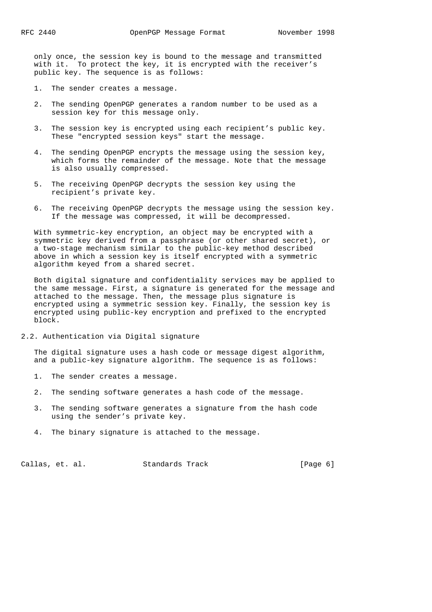only once, the session key is bound to the message and transmitted with it. To protect the key, it is encrypted with the receiver's public key. The sequence is as follows:

- 1. The sender creates a message.
- 2. The sending OpenPGP generates a random number to be used as a session key for this message only.
- 3. The session key is encrypted using each recipient's public key. These "encrypted session keys" start the message.
- 4. The sending OpenPGP encrypts the message using the session key, which forms the remainder of the message. Note that the message is also usually compressed.
- 5. The receiving OpenPGP decrypts the session key using the recipient's private key.
- 6. The receiving OpenPGP decrypts the message using the session key. If the message was compressed, it will be decompressed.

 With symmetric-key encryption, an object may be encrypted with a symmetric key derived from a passphrase (or other shared secret), or a two-stage mechanism similar to the public-key method described above in which a session key is itself encrypted with a symmetric algorithm keyed from a shared secret.

 Both digital signature and confidentiality services may be applied to the same message. First, a signature is generated for the message and attached to the message. Then, the message plus signature is encrypted using a symmetric session key. Finally, the session key is encrypted using public-key encryption and prefixed to the encrypted block.

2.2. Authentication via Digital signature

 The digital signature uses a hash code or message digest algorithm, and a public-key signature algorithm. The sequence is as follows:

- 1. The sender creates a message.
- 2. The sending software generates a hash code of the message.
- 3. The sending software generates a signature from the hash code using the sender's private key.
- 4. The binary signature is attached to the message.

Callas, et. al. Standards Track [Page 6]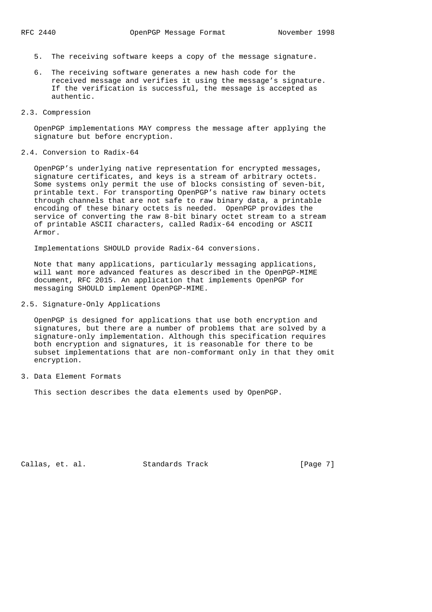- 5. The receiving software keeps a copy of the message signature.
- 6. The receiving software generates a new hash code for the received message and verifies it using the message's signature. If the verification is successful, the message is accepted as authentic.
- 2.3. Compression

 OpenPGP implementations MAY compress the message after applying the signature but before encryption.

#### 2.4. Conversion to Radix-64

 OpenPGP's underlying native representation for encrypted messages, signature certificates, and keys is a stream of arbitrary octets. Some systems only permit the use of blocks consisting of seven-bit, printable text. For transporting OpenPGP's native raw binary octets through channels that are not safe to raw binary data, a printable encoding of these binary octets is needed. OpenPGP provides the service of converting the raw 8-bit binary octet stream to a stream of printable ASCII characters, called Radix-64 encoding or ASCII Armor.

Implementations SHOULD provide Radix-64 conversions.

 Note that many applications, particularly messaging applications, will want more advanced features as described in the OpenPGP-MIME document, RFC 2015. An application that implements OpenPGP for messaging SHOULD implement OpenPGP-MIME.

# 2.5. Signature-Only Applications

 OpenPGP is designed for applications that use both encryption and signatures, but there are a number of problems that are solved by a signature-only implementation. Although this specification requires both encryption and signatures, it is reasonable for there to be subset implementations that are non-comformant only in that they omit encryption.

3. Data Element Formats

This section describes the data elements used by OpenPGP.

Callas, et. al. Standards Track [Page 7]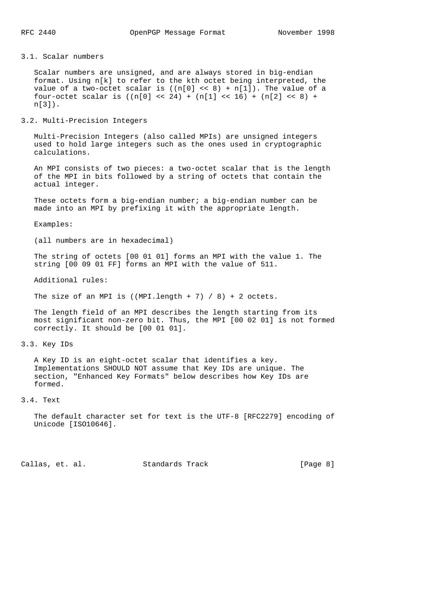# 3.1. Scalar numbers

 Scalar numbers are unsigned, and are always stored in big-endian format. Using n[k] to refer to the kth octet being interpreted, the value of a two-octet scalar is  $((n[0] < < 8) + n[1])$ . The value of a four-octet scalar is  $((n[0] \ll 24) + (n[1] \ll 16) + (n[2] \ll 8) +$ n[3]).

### 3.2. Multi-Precision Integers

 Multi-Precision Integers (also called MPIs) are unsigned integers used to hold large integers such as the ones used in cryptographic calculations.

 An MPI consists of two pieces: a two-octet scalar that is the length of the MPI in bits followed by a string of octets that contain the actual integer.

 These octets form a big-endian number; a big-endian number can be made into an MPI by prefixing it with the appropriate length.

#### Examples:

(all numbers are in hexadecimal)

 The string of octets [00 01 01] forms an MPI with the value 1. The string [00 09 01 FF] forms an MPI with the value of 511.

Additional rules:

The size of an MPI is ((MPI.length + 7) / 8) + 2 octets.

 The length field of an MPI describes the length starting from its most significant non-zero bit. Thus, the MPI [00 02 01] is not formed correctly. It should be [00 01 01].

### 3.3. Key IDs

 A Key ID is an eight-octet scalar that identifies a key. Implementations SHOULD NOT assume that Key IDs are unique. The section, "Enhanced Key Formats" below describes how Key IDs are formed.

## 3.4. Text

 The default character set for text is the UTF-8 [RFC2279] encoding of Unicode [ISO10646].

Callas, et. al. Standards Track [Page 8]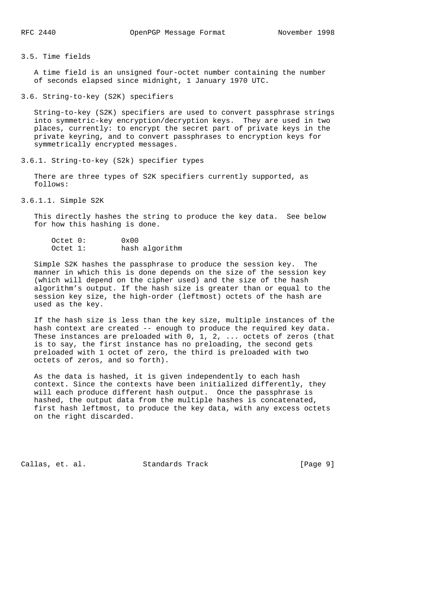3.5. Time fields

 A time field is an unsigned four-octet number containing the number of seconds elapsed since midnight, 1 January 1970 UTC.

3.6. String-to-key (S2K) specifiers

 String-to-key (S2K) specifiers are used to convert passphrase strings into symmetric-key encryption/decryption keys. They are used in two places, currently: to encrypt the secret part of private keys in the private keyring, and to convert passphrases to encryption keys for symmetrically encrypted messages.

3.6.1. String-to-key (S2k) specifier types

 There are three types of S2K specifiers currently supported, as follows:

3.6.1.1. Simple S2K

 This directly hashes the string to produce the key data. See below for how this hashing is done.

| Octet 0: | $0 \times 00$ |                |
|----------|---------------|----------------|
| Octet 1: |               | hash algorithm |

 Simple S2K hashes the passphrase to produce the session key. The manner in which this is done depends on the size of the session key (which will depend on the cipher used) and the size of the hash algorithm's output. If the hash size is greater than or equal to the session key size, the high-order (leftmost) octets of the hash are used as the key.

 If the hash size is less than the key size, multiple instances of the hash context are created -- enough to produce the required key data. These instances are preloaded with 0, 1, 2, ... octets of zeros (that is to say, the first instance has no preloading, the second gets preloaded with 1 octet of zero, the third is preloaded with two octets of zeros, and so forth).

 As the data is hashed, it is given independently to each hash context. Since the contexts have been initialized differently, they will each produce different hash output. Once the passphrase is hashed, the output data from the multiple hashes is concatenated, first hash leftmost, to produce the key data, with any excess octets on the right discarded.

Callas, et. al. Standards Track [Page 9]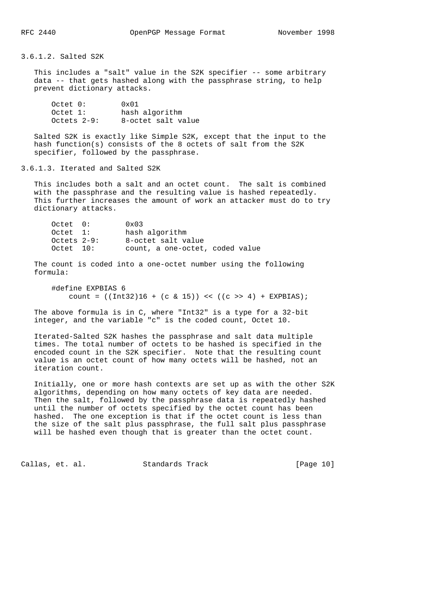3.6.1.2. Salted S2K

This includes a "salt" value in the S2K specifier -- some arbitrary data -- that gets hashed along with the passphrase string, to help prevent dictionary attacks.

| Octet 0:      | 0x01               |
|---------------|--------------------|
| Octet 1:      | hash algorithm     |
| Octets $2-9:$ | 8-octet salt value |

 Salted S2K is exactly like Simple S2K, except that the input to the hash function(s) consists of the 8 octets of salt from the S2K specifier, followed by the passphrase.

## 3.6.1.3. Iterated and Salted S2K

 This includes both a salt and an octet count. The salt is combined with the passphrase and the resulting value is hashed repeatedly. This further increases the amount of work an attacker must do to try dictionary attacks.

| Octet 0:        | $0 \times 03$                   |  |
|-----------------|---------------------------------|--|
| Octet 1:        | hash algorithm                  |  |
| $Octets$ $2-9:$ | 8-octet salt value              |  |
| Octet 10:       | count, a one-octet, coded value |  |

 The count is coded into a one-octet number using the following formula:

```
 #define EXPBIAS 6
    count = ((Int32)16 + (c & 15)) << ((c &gt;&gt; 4) + EXPBIAS);
```
 The above formula is in C, where "Int32" is a type for a 32-bit integer, and the variable "c" is the coded count, Octet 10.

 Iterated-Salted S2K hashes the passphrase and salt data multiple times. The total number of octets to be hashed is specified in the encoded count in the S2K specifier. Note that the resulting count value is an octet count of how many octets will be hashed, not an iteration count.

 Initially, one or more hash contexts are set up as with the other S2K algorithms, depending on how many octets of key data are needed. Then the salt, followed by the passphrase data is repeatedly hashed until the number of octets specified by the octet count has been hashed. The one exception is that if the octet count is less than the size of the salt plus passphrase, the full salt plus passphrase will be hashed even though that is greater than the octet count.

Callas, et. al. Standards Track [Page 10]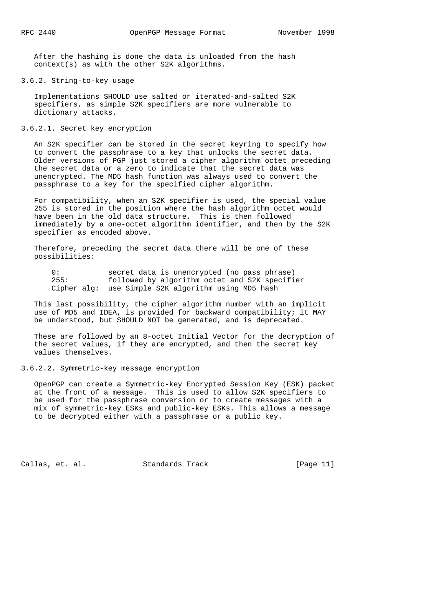After the hashing is done the data is unloaded from the hash context(s) as with the other S2K algorithms.

#### 3.6.2. String-to-key usage

 Implementations SHOULD use salted or iterated-and-salted S2K specifiers, as simple S2K specifiers are more vulnerable to dictionary attacks.

## 3.6.2.1. Secret key encryption

 An S2K specifier can be stored in the secret keyring to specify how to convert the passphrase to a key that unlocks the secret data. Older versions of PGP just stored a cipher algorithm octet preceding the secret data or a zero to indicate that the secret data was unencrypted. The MD5 hash function was always used to convert the passphrase to a key for the specified cipher algorithm.

 For compatibility, when an S2K specifier is used, the special value 255 is stored in the position where the hash algorithm octet would have been in the old data structure. This is then followed immediately by a one-octet algorithm identifier, and then by the S2K specifier as encoded above.

 Therefore, preceding the secret data there will be one of these possibilities:

0: secret data is unencrypted (no pass phrase)<br>255: followed by algorithm octet and S2K specifi followed by algorithm octet and S2K specifier Cipher alg: use Simple S2K algorithm using MD5 hash

 This last possibility, the cipher algorithm number with an implicit use of MD5 and IDEA, is provided for backward compatibility; it MAY be understood, but SHOULD NOT be generated, and is deprecated.

 These are followed by an 8-octet Initial Vector for the decryption of the secret values, if they are encrypted, and then the secret key values themselves.

3.6.2.2. Symmetric-key message encryption

 OpenPGP can create a Symmetric-key Encrypted Session Key (ESK) packet at the front of a message. This is used to allow S2K specifiers to be used for the passphrase conversion or to create messages with a mix of symmetric-key ESKs and public-key ESKs. This allows a message to be decrypted either with a passphrase or a public key.

Callas, et. al. Standards Track [Page 11]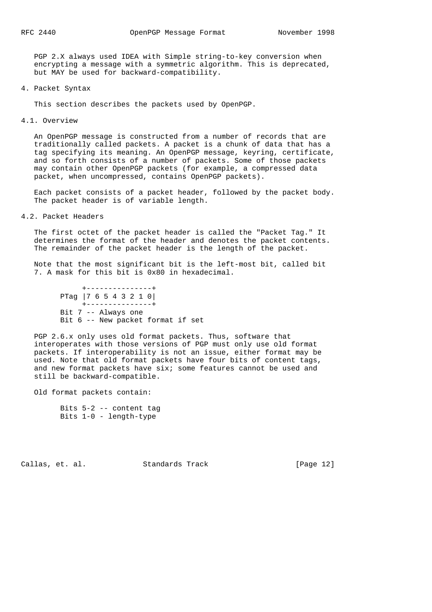PGP 2.X always used IDEA with Simple string-to-key conversion when encrypting a message with a symmetric algorithm. This is deprecated, but MAY be used for backward-compatibility.

4. Packet Syntax

This section describes the packets used by OpenPGP.

4.1. Overview

 An OpenPGP message is constructed from a number of records that are traditionally called packets. A packet is a chunk of data that has a tag specifying its meaning. An OpenPGP message, keyring, certificate, and so forth consists of a number of packets. Some of those packets may contain other OpenPGP packets (for example, a compressed data packet, when uncompressed, contains OpenPGP packets).

 Each packet consists of a packet header, followed by the packet body. The packet header is of variable length.

4.2. Packet Headers

 The first octet of the packet header is called the "Packet Tag." It determines the format of the header and denotes the packet contents. The remainder of the packet header is the length of the packet.

 Note that the most significant bit is the left-most bit, called bit 7. A mask for this bit is 0x80 in hexadecimal.

 +---------------+ PTag |7 6 5 4 3 2 1 0| +---------------+ Bit 7 -- Always one Bit 6 -- New packet format if set

 PGP 2.6.x only uses old format packets. Thus, software that interoperates with those versions of PGP must only use old format packets. If interoperability is not an issue, either format may be used. Note that old format packets have four bits of content tags, and new format packets have six; some features cannot be used and still be backward-compatible.

Old format packets contain:

Callas, et. al. Standards Track [Page 12]

Bits 5-2 -- content tag Bits 1-0 - length-type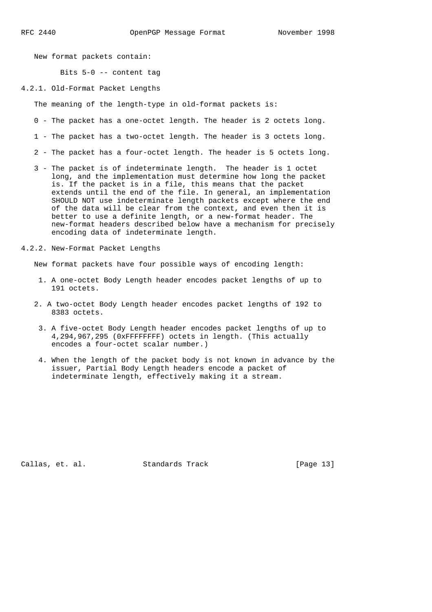New format packets contain:

Bits 5-0 -- content tag

4.2.1. Old-Format Packet Lengths

The meaning of the length-type in old-format packets is:

- 0 The packet has a one-octet length. The header is 2 octets long.
- 1 The packet has a two-octet length. The header is 3 octets long.
- 2 The packet has a four-octet length. The header is 5 octets long.
- 3 The packet is of indeterminate length. The header is 1 octet long, and the implementation must determine how long the packet is. If the packet is in a file, this means that the packet extends until the end of the file. In general, an implementation SHOULD NOT use indeterminate length packets except where the end of the data will be clear from the context, and even then it is better to use a definite length, or a new-format header. The new-format headers described below have a mechanism for precisely encoding data of indeterminate length.
- 4.2.2. New-Format Packet Lengths

New format packets have four possible ways of encoding length:

- 1. A one-octet Body Length header encodes packet lengths of up to 191 octets.
- 2. A two-octet Body Length header encodes packet lengths of 192 to 8383 octets.
- 3. A five-octet Body Length header encodes packet lengths of up to 4,294,967,295 (0xFFFFFFFF) octets in length. (This actually encodes a four-octet scalar number.)
- 4. When the length of the packet body is not known in advance by the issuer, Partial Body Length headers encode a packet of indeterminate length, effectively making it a stream.

Callas, et. al. Standards Track [Page 13]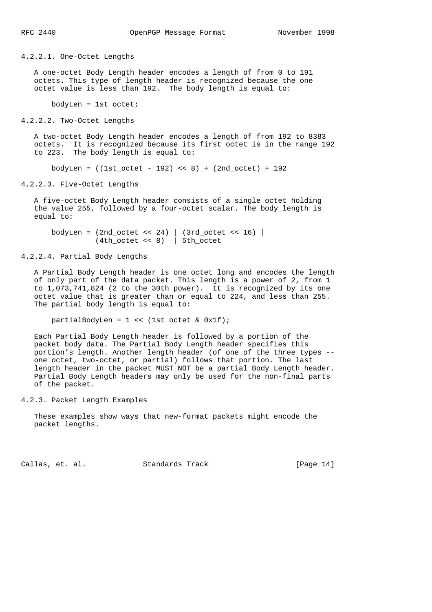4.2.2.1. One-Octet Lengths

 A one-octet Body Length header encodes a length of from 0 to 191 octets. This type of length header is recognized because the one octet value is less than 192. The body length is equal to:

bodyLen = 1st\_octet;

4.2.2.2. Two-Octet Lengths

 A two-octet Body Length header encodes a length of from 192 to 8383 octets. It is recognized because its first octet is in the range 192 to 223. The body length is equal to:

bodyLen =  $((1st octet - 192) << 8) + (2nd octet) + 192)$ 

4.2.2.3. Five-Octet Lengths

 A five-octet Body Length header consists of a single octet holding the value 255, followed by a four-octet scalar. The body length is equal to:

 bodyLen = (2nd\_octet << 24) | (3rd\_octet << 16) | (4th\_octet << 8) | 5th\_octet

4.2.2.4. Partial Body Lengths

 A Partial Body Length header is one octet long and encodes the length of only part of the data packet. This length is a power of 2, from 1 to 1,073,741,824 (2 to the 30th power). It is recognized by its one octet value that is greater than or equal to 224, and less than 255. The partial body length is equal to:

partialBodyLen = 1 << (1st\_octet & 0x1f);

 Each Partial Body Length header is followed by a portion of the packet body data. The Partial Body Length header specifies this portion's length. Another length header (of one of the three types - one octet, two-octet, or partial) follows that portion. The last length header in the packet MUST NOT be a partial Body Length header. Partial Body Length headers may only be used for the non-final parts of the packet.

4.2.3. Packet Length Examples

 These examples show ways that new-format packets might encode the packet lengths.

Callas, et. al. Standards Track [Page 14]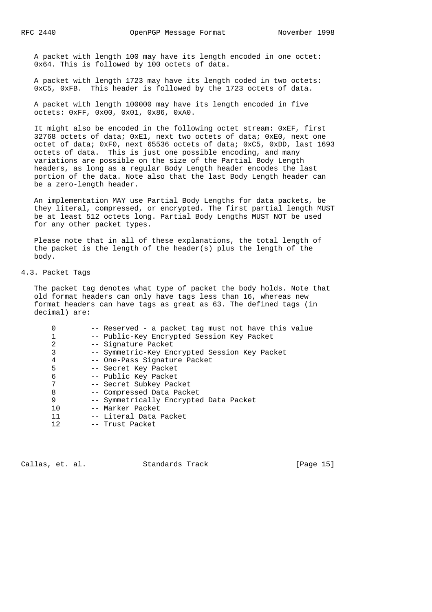A packet with length 100 may have its length encoded in one octet: 0x64. This is followed by 100 octets of data.

 A packet with length 1723 may have its length coded in two octets: 0xC5, 0xFB. This header is followed by the 1723 octets of data.

 A packet with length 100000 may have its length encoded in five octets: 0xFF, 0x00, 0x01, 0x86, 0xA0.

 It might also be encoded in the following octet stream: 0xEF, first 32768 octets of data; 0xE1, next two octets of data; 0xE0, next one octet of data; 0xF0, next 65536 octets of data; 0xC5, 0xDD, last 1693 octets of data. This is just one possible encoding, and many variations are possible on the size of the Partial Body Length headers, as long as a regular Body Length header encodes the last portion of the data. Note also that the last Body Length header can be a zero-length header.

 An implementation MAY use Partial Body Lengths for data packets, be they literal, compressed, or encrypted. The first partial length MUST be at least 512 octets long. Partial Body Lengths MUST NOT be used for any other packet types.

 Please note that in all of these explanations, the total length of the packet is the length of the header(s) plus the length of the body.

## 4.3. Packet Tags

 The packet tag denotes what type of packet the body holds. Note that old format headers can only have tags less than 16, whereas new format headers can have tags as great as 63. The defined tags (in decimal) are:

|    | -- Reserved - a packet tag must not have this value |
|----|-----------------------------------------------------|
|    | -- Public-Key Encrypted Session Key Packet          |
| 2  | -- Signature Packet                                 |
| 3  | -- Symmetric-Key Encrypted Session Key Packet       |
| 4  | -- One-Pass Signature Packet                        |
| 5  | -- Secret Key Packet                                |
| 6  | -- Public Key Packet                                |
| 7  | -- Secret Subkey Packet                             |
| 8  | -- Compressed Data Packet                           |
| 9  | -- Symmetrically Encrypted Data Packet              |
| 10 | -- Marker Packet                                    |
| 11 | -- Literal Data Packet                              |
| 12 | -- Trust Packet                                     |
|    |                                                     |

Callas, et. al. Standards Track [Page 15]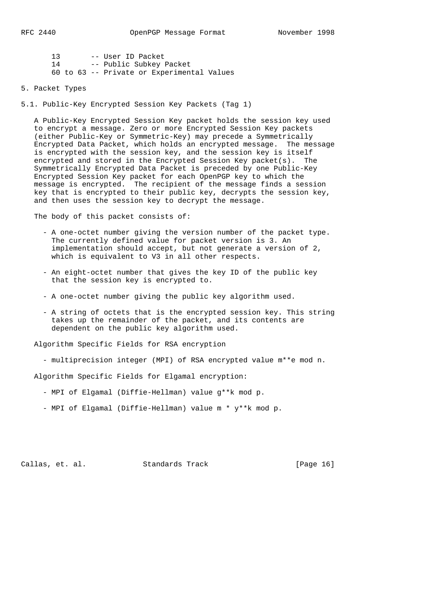| 13 |  | -- User ID Packet                          |
|----|--|--------------------------------------------|
| 14 |  | -- Public Subkey Packet                    |
|    |  | 60 to 63 -- Private or Experimental Values |

5. Packet Types

5.1. Public-Key Encrypted Session Key Packets (Tag 1)

 A Public-Key Encrypted Session Key packet holds the session key used to encrypt a message. Zero or more Encrypted Session Key packets (either Public-Key or Symmetric-Key) may precede a Symmetrically Encrypted Data Packet, which holds an encrypted message. The message is encrypted with the session key, and the session key is itself encrypted and stored in the Encrypted Session Key packet(s). The Symmetrically Encrypted Data Packet is preceded by one Public-Key Encrypted Session Key packet for each OpenPGP key to which the message is encrypted. The recipient of the message finds a session key that is encrypted to their public key, decrypts the session key, and then uses the session key to decrypt the message.

The body of this packet consists of:

- A one-octet number giving the version number of the packet type. The currently defined value for packet version is 3. An implementation should accept, but not generate a version of 2, which is equivalent to V3 in all other respects.
- An eight-octet number that gives the key ID of the public key that the session key is encrypted to.
- A one-octet number giving the public key algorithm used.
- A string of octets that is the encrypted session key. This string takes up the remainder of the packet, and its contents are dependent on the public key algorithm used.

Algorithm Specific Fields for RSA encryption

- multiprecision integer (MPI) of RSA encrypted value m\*\*e mod n.

Algorithm Specific Fields for Elgamal encryption:

- MPI of Elgamal (Diffie-Hellman) value g\*\*k mod p.
- MPI of Elgamal (Diffie-Hellman) value m \* y\*\*k mod p.

Callas, et. al. Standards Track [Page 16]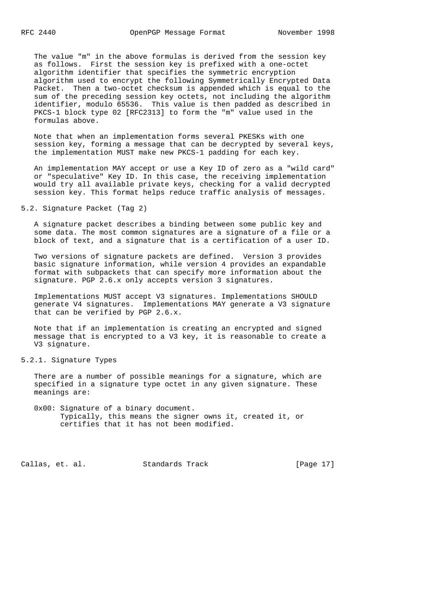The value "m" in the above formulas is derived from the session key as follows. First the session key is prefixed with a one-octet algorithm identifier that specifies the symmetric encryption algorithm used to encrypt the following Symmetrically Encrypted Data Packet. Then a two-octet checksum is appended which is equal to the sum of the preceding session key octets, not including the algorithm identifier, modulo 65536. This value is then padded as described in PKCS-1 block type 02 [RFC2313] to form the "m" value used in the formulas above.

 Note that when an implementation forms several PKESKs with one session key, forming a message that can be decrypted by several keys, the implementation MUST make new PKCS-1 padding for each key.

 An implementation MAY accept or use a Key ID of zero as a "wild card" or "speculative" Key ID. In this case, the receiving implementation would try all available private keys, checking for a valid decrypted session key. This format helps reduce traffic analysis of messages.

# 5.2. Signature Packet (Tag 2)

 A signature packet describes a binding between some public key and some data. The most common signatures are a signature of a file or a block of text, and a signature that is a certification of a user ID.

 Two versions of signature packets are defined. Version 3 provides basic signature information, while version 4 provides an expandable format with subpackets that can specify more information about the signature. PGP 2.6.x only accepts version 3 signatures.

 Implementations MUST accept V3 signatures. Implementations SHOULD generate V4 signatures. Implementations MAY generate a V3 signature that can be verified by PGP 2.6.x.

 Note that if an implementation is creating an encrypted and signed message that is encrypted to a V3 key, it is reasonable to create a V3 signature.

## 5.2.1. Signature Types

 There are a number of possible meanings for a signature, which are specified in a signature type octet in any given signature. These meanings are:

 0x00: Signature of a binary document. Typically, this means the signer owns it, created it, or certifies that it has not been modified.

Callas, et. al. Standards Track [Page 17]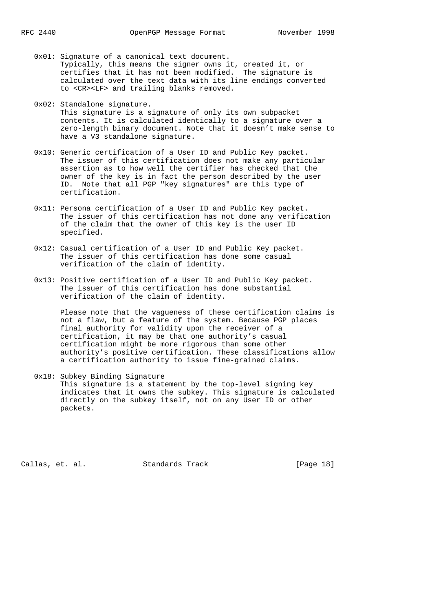- 0x01: Signature of a canonical text document. Typically, this means the signer owns it, created it, or certifies that it has not been modified. The signature is calculated over the text data with its line endings converted to <CR><LF> and trailing blanks removed.
- 0x02: Standalone signature. This signature is a signature of only its own subpacket contents. It is calculated identically to a signature over a zero-length binary document. Note that it doesn't make sense to

have a V3 standalone signature.

- 0x10: Generic certification of a User ID and Public Key packet. The issuer of this certification does not make any particular assertion as to how well the certifier has checked that the owner of the key is in fact the person described by the user ID. Note that all PGP "key signatures" are this type of certification.
- 0x11: Persona certification of a User ID and Public Key packet. The issuer of this certification has not done any verification of the claim that the owner of this key is the user ID specified.
- 0x12: Casual certification of a User ID and Public Key packet. The issuer of this certification has done some casual verification of the claim of identity.
- 0x13: Positive certification of a User ID and Public Key packet. The issuer of this certification has done substantial verification of the claim of identity.

 Please note that the vagueness of these certification claims is not a flaw, but a feature of the system. Because PGP places final authority for validity upon the receiver of a certification, it may be that one authority's casual certification might be more rigorous than some other authority's positive certification. These classifications allow a certification authority to issue fine-grained claims.

 0x18: Subkey Binding Signature This signature is a statement by the top-level signing key indicates that it owns the subkey. This signature is calculated directly on the subkey itself, not on any User ID or other packets.

Callas, et. al. Standards Track [Page 18]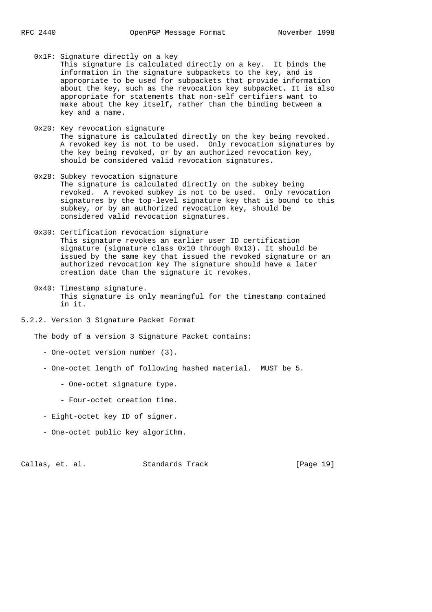0x1F: Signature directly on a key This signature is calculated directly on a key. It binds the information in the signature subpackets to the key, and is appropriate to be used for subpackets that provide information about the key, such as the revocation key subpacket. It is also appropriate for statements that non-self certifiers want to make about the key itself, rather than the binding between a key and a name.

- 0x20: Key revocation signature The signature is calculated directly on the key being revoked. A revoked key is not to be used. Only revocation signatures by the key being revoked, or by an authorized revocation key, should be considered valid revocation signatures.
- 0x28: Subkey revocation signature The signature is calculated directly on the subkey being revoked. A revoked subkey is not to be used. Only revocation signatures by the top-level signature key that is bound to this subkey, or by an authorized revocation key, should be considered valid revocation signatures.
- 0x30: Certification revocation signature This signature revokes an earlier user ID certification signature (signature class 0x10 through 0x13). It should be issued by the same key that issued the revoked signature or an authorized revocation key The signature should have a later creation date than the signature it revokes.
- 0x40: Timestamp signature. This signature is only meaningful for the timestamp contained in it.
- 5.2.2. Version 3 Signature Packet Format

The body of a version 3 Signature Packet contains:

- One-octet version number (3).
- One-octet length of following hashed material. MUST be 5.
	- One-octet signature type.
	- Four-octet creation time.
- Eight-octet key ID of signer.
- One-octet public key algorithm.

Callas, et. al. Standards Track [Page 19]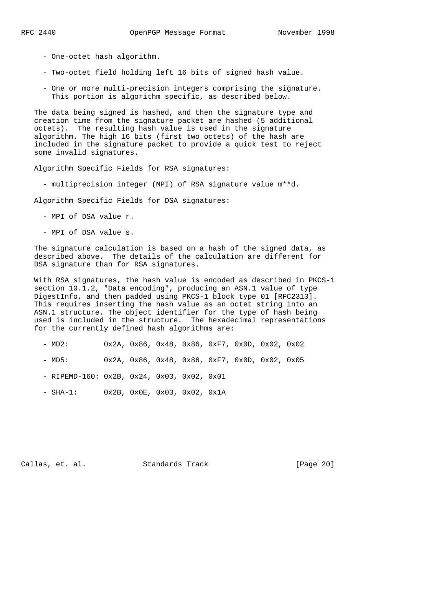- One-octet hash algorithm.
- Two-octet field holding left 16 bits of signed hash value.
- One or more multi-precision integers comprising the signature. This portion is algorithm specific, as described below.

 The data being signed is hashed, and then the signature type and creation time from the signature packet are hashed (5 additional octets). The resulting hash value is used in the signature algorithm. The high 16 bits (first two octets) of the hash are included in the signature packet to provide a quick test to reject some invalid signatures.

Algorithm Specific Fields for RSA signatures:

- multiprecision integer (MPI) of RSA signature value m\*\*d.

Algorithm Specific Fields for DSA signatures:

- MPI of DSA value r.
- MPI of DSA value s.

 The signature calculation is based on a hash of the signed data, as described above. The details of the calculation are different for DSA signature than for RSA signatures.

 With RSA signatures, the hash value is encoded as described in PKCS-1 section 10.1.2, "Data encoding", producing an ASN.1 value of type DigestInfo, and then padded using PKCS-1 block type 01 [RFC2313]. This requires inserting the hash value as an octet string into an ASN.1 structure. The object identifier for the type of hash being used is included in the structure. The hexadecimal representations for the currently defined hash algorithms are:

- MD2: 0x2A, 0x86, 0x48, 0x86, 0xF7, 0x0D, 0x02, 0x02
- MD5: 0x2A, 0x86, 0x48, 0x86, 0xF7, 0x0D, 0x02, 0x05
- RIPEMD-160: 0x2B, 0x24, 0x03, 0x02, 0x01
- SHA-1: 0x2B, 0x0E, 0x03, 0x02, 0x1A

Callas, et. al. Standards Track [Page 20]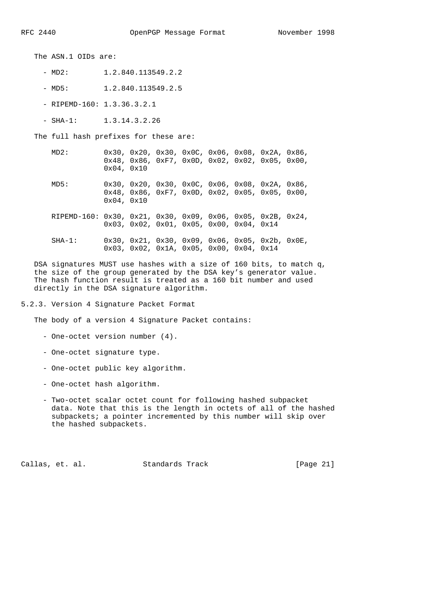The ASN.1 OIDs are:

- $-MD2: 1.2.840.113549.2.2$
- MD5: 1.2.840.113549.2.5
- RIPEMD-160: 1.3.36.3.2.1
- SHA-1: 1.3.14.3.2.26

The full hash prefixes for these are:

 MD2: 0x30, 0x20, 0x30, 0x0C, 0x06, 0x08, 0x2A, 0x86, 0x48, 0x86, 0xF7, 0x0D, 0x02, 0x02, 0x05, 0x00, 0x04, 0x10

 MD5: 0x30, 0x20, 0x30, 0x0C, 0x06, 0x08, 0x2A, 0x86, 0x48, 0x86, 0xF7, 0x0D, 0x02, 0x05, 0x05, 0x00, 0x04, 0x10

 RIPEMD-160: 0x30, 0x21, 0x30, 0x09, 0x06, 0x05, 0x2B, 0x24, 0x03, 0x02, 0x01, 0x05, 0x00, 0x04, 0x14

 SHA-1: 0x30, 0x21, 0x30, 0x09, 0x06, 0x05, 0x2b, 0x0E, 0x03, 0x02, 0x1A, 0x05, 0x00, 0x04, 0x14

 DSA signatures MUST use hashes with a size of 160 bits, to match q, the size of the group generated by the DSA key's generator value. The hash function result is treated as a 160 bit number and used directly in the DSA signature algorithm.

5.2.3. Version 4 Signature Packet Format

The body of a version 4 Signature Packet contains:

- One-octet version number (4).
- One-octet signature type.
- One-octet public key algorithm.
- One-octet hash algorithm.
- Two-octet scalar octet count for following hashed subpacket data. Note that this is the length in octets of all of the hashed subpackets; a pointer incremented by this number will skip over the hashed subpackets.

Callas, et. al. Standards Track [Page 21]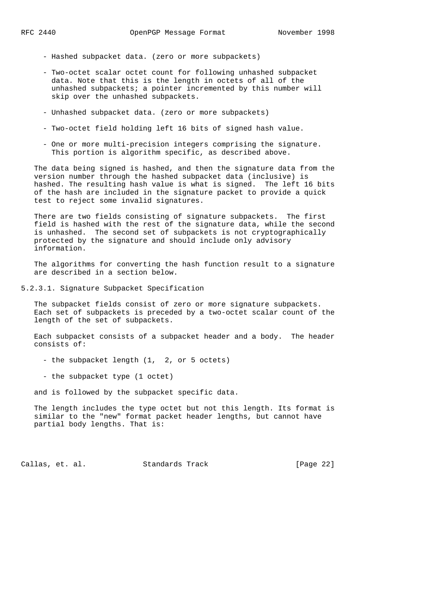- Hashed subpacket data. (zero or more subpackets)
- Two-octet scalar octet count for following unhashed subpacket data. Note that this is the length in octets of all of the unhashed subpackets; a pointer incremented by this number will skip over the unhashed subpackets.
- Unhashed subpacket data. (zero or more subpackets)
- Two-octet field holding left 16 bits of signed hash value.
- One or more multi-precision integers comprising the signature. This portion is algorithm specific, as described above.

 The data being signed is hashed, and then the signature data from the version number through the hashed subpacket data (inclusive) is hashed. The resulting hash value is what is signed. The left 16 bits of the hash are included in the signature packet to provide a quick test to reject some invalid signatures.

 There are two fields consisting of signature subpackets. The first field is hashed with the rest of the signature data, while the second is unhashed. The second set of subpackets is not cryptographically protected by the signature and should include only advisory information.

 The algorithms for converting the hash function result to a signature are described in a section below.

5.2.3.1. Signature Subpacket Specification

 The subpacket fields consist of zero or more signature subpackets. Each set of subpackets is preceded by a two-octet scalar count of the length of the set of subpackets.

 Each subpacket consists of a subpacket header and a body. The header consists of:

- the subpacket length (1, 2, or 5 octets)
- the subpacket type (1 octet)

and is followed by the subpacket specific data.

 The length includes the type octet but not this length. Its format is similar to the "new" format packet header lengths, but cannot have partial body lengths. That is:

Callas, et. al. Standards Track [Page 22]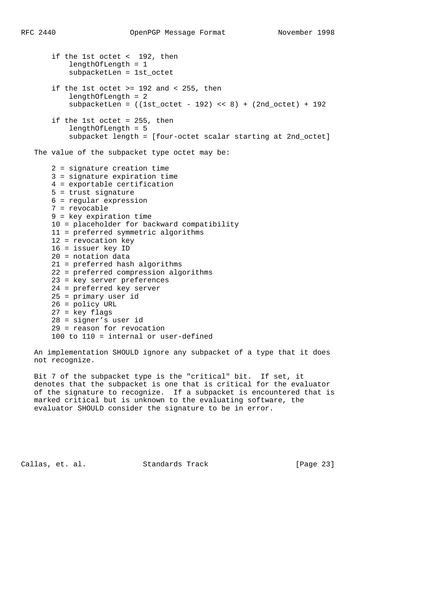if the 1st octet < 192, then lengthOfLength = 1 subpacketLen = 1st\_octet if the 1st octet  $>= 192$  and  $< 255$ , then lengthOfLength = 2  $subpacketLen = ((1st-octet - 192) << 8) + (2nd-octet) + 192$  if the 1st octet = 255, then lengthOfLength = 5 subpacket length = [four-octet scalar starting at 2nd\_octet] The value of the subpacket type octet may be: 2 = signature creation time 3 = signature expiration time 4 = exportable certification 5 = trust signature 6 = regular expression 7 = revocable 9 = key expiration time 10 = placeholder for backward compatibility 11 = preferred symmetric algorithms 12 = revocation key 16 = issuer key ID 20 = notation data 21 = preferred hash algorithms 22 = preferred compression algorithms 23 = key server preferences 24 = preferred key server  $25 = \text{primary user id}$  26 = policy URL 27 = key flags 28 = signer's user id 29 = reason for revocation 100 to 110 = internal or user-defined

 An implementation SHOULD ignore any subpacket of a type that it does not recognize.

 Bit 7 of the subpacket type is the "critical" bit. If set, it denotes that the subpacket is one that is critical for the evaluator of the signature to recognize. If a subpacket is encountered that is marked critical but is unknown to the evaluating software, the evaluator SHOULD consider the signature to be in error.

Callas, et. al. Standards Track [Page 23]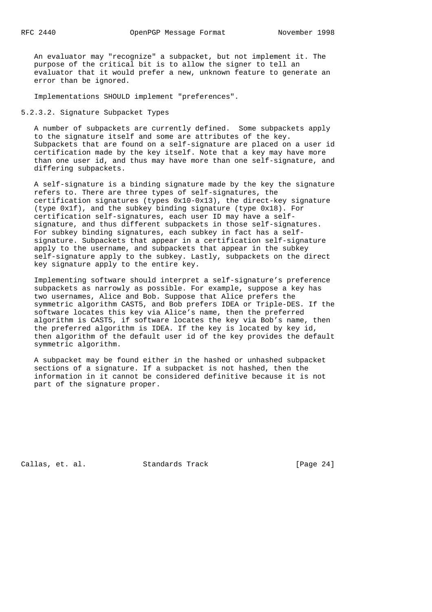An evaluator may "recognize" a subpacket, but not implement it. The purpose of the critical bit is to allow the signer to tell an evaluator that it would prefer a new, unknown feature to generate an error than be ignored.

Implementations SHOULD implement "preferences".

5.2.3.2. Signature Subpacket Types

 A number of subpackets are currently defined. Some subpackets apply to the signature itself and some are attributes of the key. Subpackets that are found on a self-signature are placed on a user id certification made by the key itself. Note that a key may have more than one user id, and thus may have more than one self-signature, and differing subpackets.

 A self-signature is a binding signature made by the key the signature refers to. There are three types of self-signatures, the certification signatures (types 0x10-0x13), the direct-key signature (type 0x1f), and the subkey binding signature (type 0x18). For certification self-signatures, each user ID may have a self signature, and thus different subpackets in those self-signatures. For subkey binding signatures, each subkey in fact has a self signature. Subpackets that appear in a certification self-signature apply to the username, and subpackets that appear in the subkey self-signature apply to the subkey. Lastly, subpackets on the direct key signature apply to the entire key.

 Implementing software should interpret a self-signature's preference subpackets as narrowly as possible. For example, suppose a key has two usernames, Alice and Bob. Suppose that Alice prefers the symmetric algorithm CAST5, and Bob prefers IDEA or Triple-DES. If the software locates this key via Alice's name, then the preferred algorithm is CAST5, if software locates the key via Bob's name, then the preferred algorithm is IDEA. If the key is located by key id, then algorithm of the default user id of the key provides the default symmetric algorithm.

 A subpacket may be found either in the hashed or unhashed subpacket sections of a signature. If a subpacket is not hashed, then the information in it cannot be considered definitive because it is not part of the signature proper.

Callas, et. al. Standards Track [Page 24]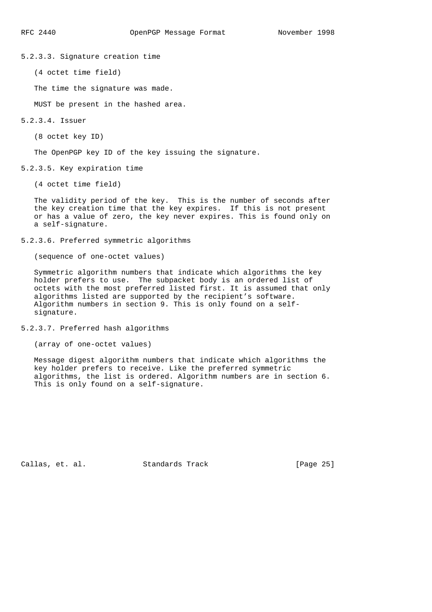5.2.3.3. Signature creation time

(4 octet time field)

The time the signature was made.

MUST be present in the hashed area.

### 5.2.3.4. Issuer

(8 octet key ID)

The OpenPGP key ID of the key issuing the signature.

5.2.3.5. Key expiration time

(4 octet time field)

 The validity period of the key. This is the number of seconds after the key creation time that the key expires. If this is not present or has a value of zero, the key never expires. This is found only on a self-signature.

5.2.3.6. Preferred symmetric algorithms

(sequence of one-octet values)

 Symmetric algorithm numbers that indicate which algorithms the key holder prefers to use. The subpacket body is an ordered list of octets with the most preferred listed first. It is assumed that only algorithms listed are supported by the recipient's software. Algorithm numbers in section 9. This is only found on a self signature.

### 5.2.3.7. Preferred hash algorithms

```
 (array of one-octet values)
```
 Message digest algorithm numbers that indicate which algorithms the key holder prefers to receive. Like the preferred symmetric algorithms, the list is ordered. Algorithm numbers are in section 6. This is only found on a self-signature.

Callas, et. al. Standards Track [Page 25]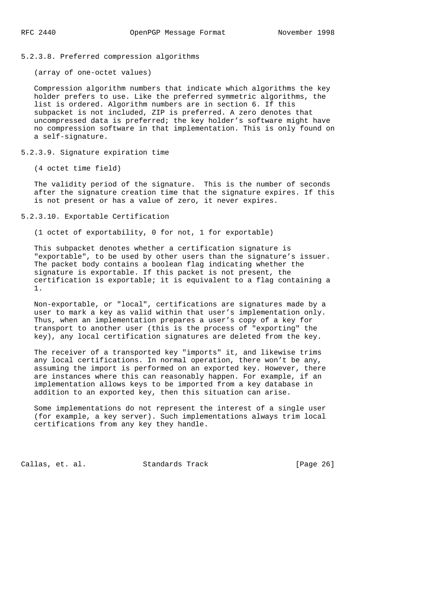5.2.3.8. Preferred compression algorithms

(array of one-octet values)

 Compression algorithm numbers that indicate which algorithms the key holder prefers to use. Like the preferred symmetric algorithms, the list is ordered. Algorithm numbers are in section 6. If this subpacket is not included, ZIP is preferred. A zero denotes that uncompressed data is preferred; the key holder's software might have no compression software in that implementation. This is only found on a self-signature.

5.2.3.9. Signature expiration time

(4 octet time field)

 The validity period of the signature. This is the number of seconds after the signature creation time that the signature expires. If this is not present or has a value of zero, it never expires.

## 5.2.3.10. Exportable Certification

(1 octet of exportability, 0 for not, 1 for exportable)

 This subpacket denotes whether a certification signature is "exportable", to be used by other users than the signature's issuer. The packet body contains a boolean flag indicating whether the signature is exportable. If this packet is not present, the certification is exportable; it is equivalent to a flag containing a 1.

 Non-exportable, or "local", certifications are signatures made by a user to mark a key as valid within that user's implementation only. Thus, when an implementation prepares a user's copy of a key for transport to another user (this is the process of "exporting" the key), any local certification signatures are deleted from the key.

 The receiver of a transported key "imports" it, and likewise trims any local certifications. In normal operation, there won't be any, assuming the import is performed on an exported key. However, there are instances where this can reasonably happen. For example, if an implementation allows keys to be imported from a key database in addition to an exported key, then this situation can arise.

 Some implementations do not represent the interest of a single user (for example, a key server). Such implementations always trim local certifications from any key they handle.

Callas, et. al. Standards Track [Page 26]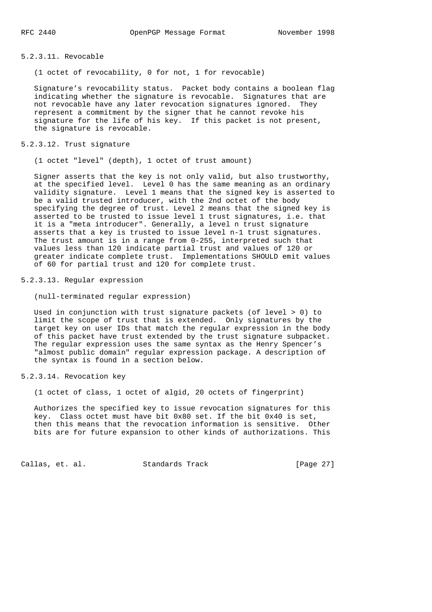## 5.2.3.11. Revocable

(1 octet of revocability, 0 for not, 1 for revocable)

 Signature's revocability status. Packet body contains a boolean flag indicating whether the signature is revocable. Signatures that are not revocable have any later revocation signatures ignored. They represent a commitment by the signer that he cannot revoke his signature for the life of his key. If this packet is not present, the signature is revocable.

#### 5.2.3.12. Trust signature

(1 octet "level" (depth), 1 octet of trust amount)

 Signer asserts that the key is not only valid, but also trustworthy, at the specified level. Level 0 has the same meaning as an ordinary validity signature. Level 1 means that the signed key is asserted to be a valid trusted introducer, with the 2nd octet of the body specifying the degree of trust. Level 2 means that the signed key is asserted to be trusted to issue level 1 trust signatures, i.e. that it is a "meta introducer". Generally, a level n trust signature asserts that a key is trusted to issue level n-1 trust signatures. The trust amount is in a range from 0-255, interpreted such that values less than 120 indicate partial trust and values of 120 or greater indicate complete trust. Implementations SHOULD emit values of 60 for partial trust and 120 for complete trust.

### 5.2.3.13. Regular expression

(null-terminated regular expression)

 Used in conjunction with trust signature packets (of level > 0) to limit the scope of trust that is extended. Only signatures by the target key on user IDs that match the regular expression in the body of this packet have trust extended by the trust signature subpacket. The regular expression uses the same syntax as the Henry Spencer's "almost public domain" regular expression package. A description of the syntax is found in a section below.

5.2.3.14. Revocation key

(1 octet of class, 1 octet of algid, 20 octets of fingerprint)

 Authorizes the specified key to issue revocation signatures for this key. Class octet must have bit 0x80 set. If the bit 0x40 is set, then this means that the revocation information is sensitive. Other bits are for future expansion to other kinds of authorizations. This

Callas, et. al. Standards Track [Page 27]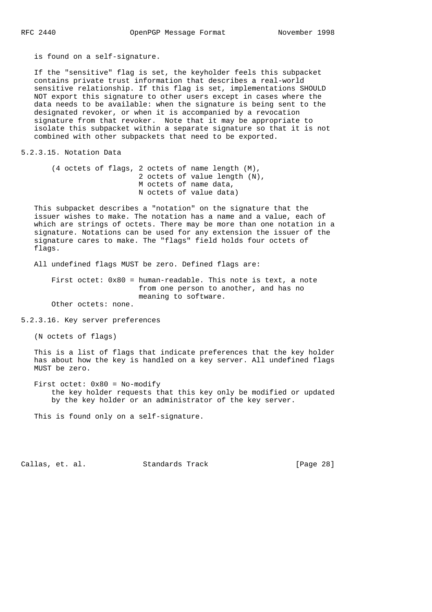is found on a self-signature.

 If the "sensitive" flag is set, the keyholder feels this subpacket contains private trust information that describes a real-world sensitive relationship. If this flag is set, implementations SHOULD NOT export this signature to other users except in cases where the data needs to be available: when the signature is being sent to the designated revoker, or when it is accompanied by a revocation signature from that revoker. Note that it may be appropriate to isolate this subpacket within a separate signature so that it is not combined with other subpackets that need to be exported.

5.2.3.15. Notation Data

 (4 octets of flags, 2 octets of name length (M), 2 octets of value length (N), M octets of name data, N octets of value data)

 This subpacket describes a "notation" on the signature that the issuer wishes to make. The notation has a name and a value, each of which are strings of octets. There may be more than one notation in a signature. Notations can be used for any extension the issuer of the signature cares to make. The "flags" field holds four octets of flags.

All undefined flags MUST be zero. Defined flags are:

 First octet: 0x80 = human-readable. This note is text, a note from one person to another, and has no meaning to software.

Other octets: none.

5.2.3.16. Key server preferences

(N octets of flags)

 This is a list of flags that indicate preferences that the key holder has about how the key is handled on a key server. All undefined flags MUST be zero.

 First octet: 0x80 = No-modify the key holder requests that this key only be modified or updated by the key holder or an administrator of the key server.

This is found only on a self-signature.

Callas, et. al. Standards Track [Page 28]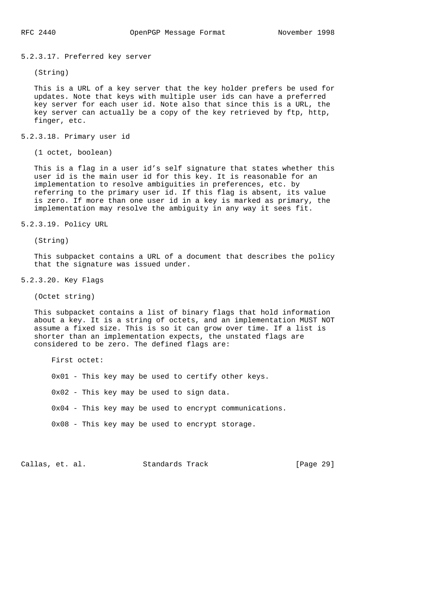5.2.3.17. Preferred key server

(String)

 This is a URL of a key server that the key holder prefers be used for updates. Note that keys with multiple user ids can have a preferred key server for each user id. Note also that since this is a URL, the key server can actually be a copy of the key retrieved by ftp, http, finger, etc.

5.2.3.18. Primary user id

(1 octet, boolean)

 This is a flag in a user id's self signature that states whether this user id is the main user id for this key. It is reasonable for an implementation to resolve ambiguities in preferences, etc. by referring to the primary user id. If this flag is absent, its value is zero. If more than one user id in a key is marked as primary, the implementation may resolve the ambiguity in any way it sees fit.

5.2.3.19. Policy URL

(String)

 This subpacket contains a URL of a document that describes the policy that the signature was issued under.

5.2.3.20. Key Flags

(Octet string)

 This subpacket contains a list of binary flags that hold information about a key. It is a string of octets, and an implementation MUST NOT assume a fixed size. This is so it can grow over time. If a list is shorter than an implementation expects, the unstated flags are considered to be zero. The defined flags are:

First octet:

0x01 - This key may be used to certify other keys.

0x02 - This key may be used to sign data.

0x04 - This key may be used to encrypt communications.

0x08 - This key may be used to encrypt storage.

Callas, et. al. Standards Track [Page 29]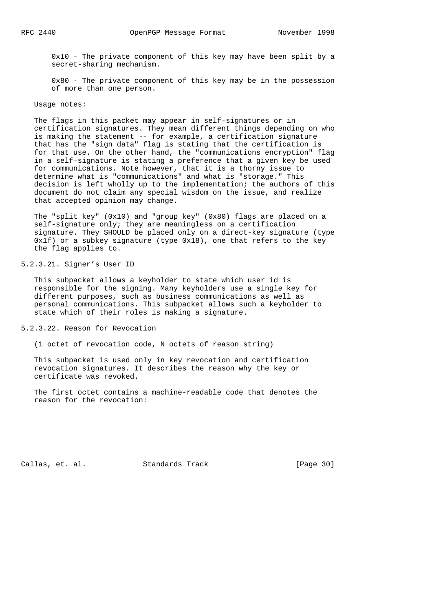0x10 - The private component of this key may have been split by a secret-sharing mechanism.

 0x80 - The private component of this key may be in the possession of more than one person.

Usage notes:

 The flags in this packet may appear in self-signatures or in certification signatures. They mean different things depending on who is making the statement -- for example, a certification signature that has the "sign data" flag is stating that the certification is for that use. On the other hand, the "communications encryption" flag in a self-signature is stating a preference that a given key be used for communications. Note however, that it is a thorny issue to determine what is "communications" and what is "storage." This decision is left wholly up to the implementation; the authors of this document do not claim any special wisdom on the issue, and realize that accepted opinion may change.

 The "split key" (0x10) and "group key" (0x80) flags are placed on a self-signature only; they are meaningless on a certification signature. They SHOULD be placed only on a direct-key signature (type  $0x1f$ ) or a subkey signature (type  $0x18$ ), one that refers to the key the flag applies to.

5.2.3.21. Signer's User ID

 This subpacket allows a keyholder to state which user id is responsible for the signing. Many keyholders use a single key for different purposes, such as business communications as well as personal communications. This subpacket allows such a keyholder to state which of their roles is making a signature.

5.2.3.22. Reason for Revocation

(1 octet of revocation code, N octets of reason string)

 This subpacket is used only in key revocation and certification revocation signatures. It describes the reason why the key or certificate was revoked.

 The first octet contains a machine-readable code that denotes the reason for the revocation:

Callas, et. al. Standards Track [Page 30]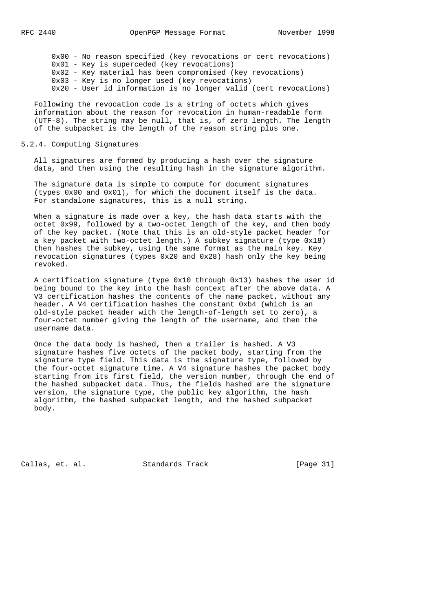0x00 - No reason specified (key revocations or cert revocations) 0x01 - Key is superceded (key revocations) 0x02 - Key material has been compromised (key revocations) 0x03 - Key is no longer used (key revocations) 0x20 - User id information is no longer valid (cert revocations)

 Following the revocation code is a string of octets which gives information about the reason for revocation in human-readable form (UTF-8). The string may be null, that is, of zero length. The length of the subpacket is the length of the reason string plus one.

### 5.2.4. Computing Signatures

 All signatures are formed by producing a hash over the signature data, and then using the resulting hash in the signature algorithm.

 The signature data is simple to compute for document signatures (types 0x00 and 0x01), for which the document itself is the data. For standalone signatures, this is a null string.

 When a signature is made over a key, the hash data starts with the octet 0x99, followed by a two-octet length of the key, and then body of the key packet. (Note that this is an old-style packet header for a key packet with two-octet length.) A subkey signature (type 0x18) then hashes the subkey, using the same format as the main key. Key revocation signatures (types 0x20 and 0x28) hash only the key being revoked.

 A certification signature (type 0x10 through 0x13) hashes the user id being bound to the key into the hash context after the above data. A V3 certification hashes the contents of the name packet, without any header. A V4 certification hashes the constant 0xb4 (which is an old-style packet header with the length-of-length set to zero), a four-octet number giving the length of the username, and then the username data.

 Once the data body is hashed, then a trailer is hashed. A V3 signature hashes five octets of the packet body, starting from the signature type field. This data is the signature type, followed by the four-octet signature time. A V4 signature hashes the packet body starting from its first field, the version number, through the end of the hashed subpacket data. Thus, the fields hashed are the signature version, the signature type, the public key algorithm, the hash algorithm, the hashed subpacket length, and the hashed subpacket body.

Callas, et. al. Standards Track [Page 31]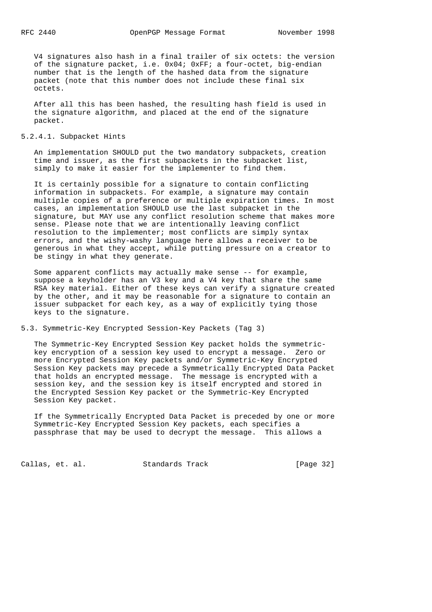V4 signatures also hash in a final trailer of six octets: the version of the signature packet, i.e. 0x04; 0xFF; a four-octet, big-endian number that is the length of the hashed data from the signature packet (note that this number does not include these final six octets.

 After all this has been hashed, the resulting hash field is used in the signature algorithm, and placed at the end of the signature packet.

## 5.2.4.1. Subpacket Hints

 An implementation SHOULD put the two mandatory subpackets, creation time and issuer, as the first subpackets in the subpacket list, simply to make it easier for the implementer to find them.

 It is certainly possible for a signature to contain conflicting information in subpackets. For example, a signature may contain multiple copies of a preference or multiple expiration times. In most cases, an implementation SHOULD use the last subpacket in the signature, but MAY use any conflict resolution scheme that makes more sense. Please note that we are intentionally leaving conflict resolution to the implementer; most conflicts are simply syntax errors, and the wishy-washy language here allows a receiver to be generous in what they accept, while putting pressure on a creator to be stingy in what they generate.

 Some apparent conflicts may actually make sense -- for example, suppose a keyholder has an V3 key and a V4 key that share the same RSA key material. Either of these keys can verify a signature created by the other, and it may be reasonable for a signature to contain an issuer subpacket for each key, as a way of explicitly tying those keys to the signature.

5.3. Symmetric-Key Encrypted Session-Key Packets (Tag 3)

 The Symmetric-Key Encrypted Session Key packet holds the symmetric key encryption of a session key used to encrypt a message. Zero or more Encrypted Session Key packets and/or Symmetric-Key Encrypted Session Key packets may precede a Symmetrically Encrypted Data Packet that holds an encrypted message. The message is encrypted with a session key, and the session key is itself encrypted and stored in the Encrypted Session Key packet or the Symmetric-Key Encrypted Session Key packet.

 If the Symmetrically Encrypted Data Packet is preceded by one or more Symmetric-Key Encrypted Session Key packets, each specifies a passphrase that may be used to decrypt the message. This allows a

Callas, et. al. Standards Track [Page 32]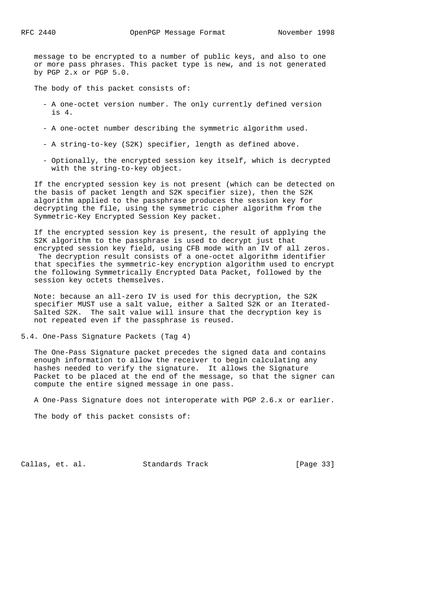message to be encrypted to a number of public keys, and also to one or more pass phrases. This packet type is new, and is not generated by PGP 2.x or PGP 5.0.

The body of this packet consists of:

- A one-octet version number. The only currently defined version is 4.
- A one-octet number describing the symmetric algorithm used.
- A string-to-key (S2K) specifier, length as defined above.
- Optionally, the encrypted session key itself, which is decrypted with the string-to-key object.

 If the encrypted session key is not present (which can be detected on the basis of packet length and S2K specifier size), then the S2K algorithm applied to the passphrase produces the session key for decrypting the file, using the symmetric cipher algorithm from the Symmetric-Key Encrypted Session Key packet.

 If the encrypted session key is present, the result of applying the S2K algorithm to the passphrase is used to decrypt just that encrypted session key field, using CFB mode with an IV of all zeros. The decryption result consists of a one-octet algorithm identifier that specifies the symmetric-key encryption algorithm used to encrypt the following Symmetrically Encrypted Data Packet, followed by the session key octets themselves.

 Note: because an all-zero IV is used for this decryption, the S2K specifier MUST use a salt value, either a Salted S2K or an Iterated- Salted S2K. The salt value will insure that the decryption key is not repeated even if the passphrase is reused.

5.4. One-Pass Signature Packets (Tag 4)

 The One-Pass Signature packet precedes the signed data and contains enough information to allow the receiver to begin calculating any hashes needed to verify the signature. It allows the Signature Packet to be placed at the end of the message, so that the signer can compute the entire signed message in one pass.

A One-Pass Signature does not interoperate with PGP 2.6.x or earlier.

The body of this packet consists of:

Callas, et. al. Standards Track [Page 33]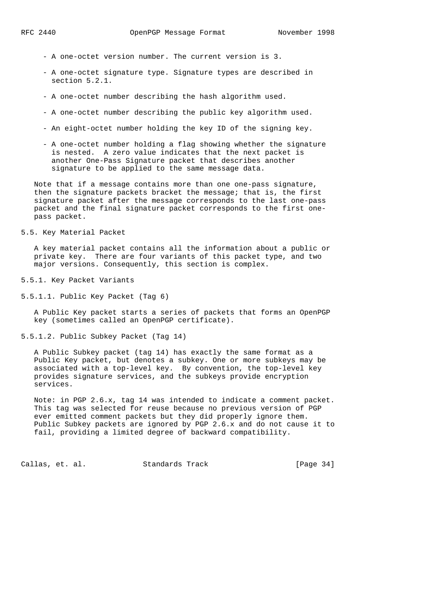- A one-octet version number. The current version is 3.
- A one-octet signature type. Signature types are described in section 5.2.1.
- A one-octet number describing the hash algorithm used.
- A one-octet number describing the public key algorithm used.
- An eight-octet number holding the key ID of the signing key.
- A one-octet number holding a flag showing whether the signature is nested. A zero value indicates that the next packet is another One-Pass Signature packet that describes another signature to be applied to the same message data.

 Note that if a message contains more than one one-pass signature, then the signature packets bracket the message; that is, the first signature packet after the message corresponds to the last one-pass packet and the final signature packet corresponds to the first one pass packet.

5.5. Key Material Packet

 A key material packet contains all the information about a public or private key. There are four variants of this packet type, and two major versions. Consequently, this section is complex.

5.5.1. Key Packet Variants

5.5.1.1. Public Key Packet (Tag 6)

 A Public Key packet starts a series of packets that forms an OpenPGP key (sometimes called an OpenPGP certificate).

5.5.1.2. Public Subkey Packet (Tag 14)

 A Public Subkey packet (tag 14) has exactly the same format as a Public Key packet, but denotes a subkey. One or more subkeys may be associated with a top-level key. By convention, the top-level key provides signature services, and the subkeys provide encryption services.

 Note: in PGP 2.6.x, tag 14 was intended to indicate a comment packet. This tag was selected for reuse because no previous version of PGP ever emitted comment packets but they did properly ignore them. Public Subkey packets are ignored by PGP 2.6.x and do not cause it to fail, providing a limited degree of backward compatibility.

Callas, et. al. Standards Track [Page 34]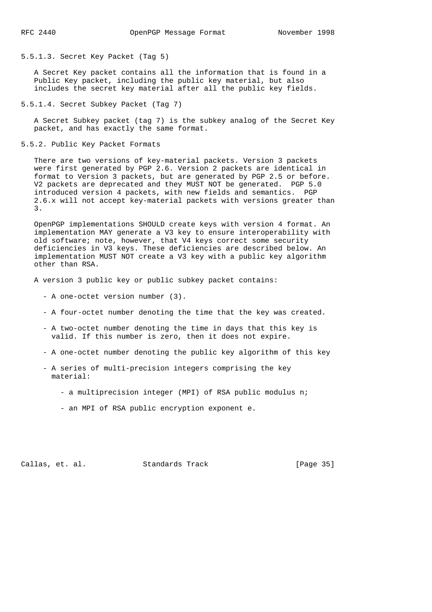5.5.1.3. Secret Key Packet (Tag 5)

 A Secret Key packet contains all the information that is found in a Public Key packet, including the public key material, but also includes the secret key material after all the public key fields.

5.5.1.4. Secret Subkey Packet (Tag 7)

 A Secret Subkey packet (tag 7) is the subkey analog of the Secret Key packet, and has exactly the same format.

5.5.2. Public Key Packet Formats

 There are two versions of key-material packets. Version 3 packets were first generated by PGP 2.6. Version 2 packets are identical in format to Version 3 packets, but are generated by PGP 2.5 or before. V2 packets are deprecated and they MUST NOT be generated. PGP 5.0 introduced version 4 packets, with new fields and semantics. PGP 2.6.x will not accept key-material packets with versions greater than 3.

 OpenPGP implementations SHOULD create keys with version 4 format. An implementation MAY generate a V3 key to ensure interoperability with old software; note, however, that V4 keys correct some security deficiencies in V3 keys. These deficiencies are described below. An implementation MUST NOT create a V3 key with a public key algorithm other than RSA.

A version 3 public key or public subkey packet contains:

- A one-octet version number (3).
- A four-octet number denoting the time that the key was created.
- A two-octet number denoting the time in days that this key is valid. If this number is zero, then it does not expire.
- A one-octet number denoting the public key algorithm of this key
- A series of multi-precision integers comprising the key material:
	- a multiprecision integer (MPI) of RSA public modulus n;
	- an MPI of RSA public encryption exponent e.

Callas, et. al. Standards Track [Page 35]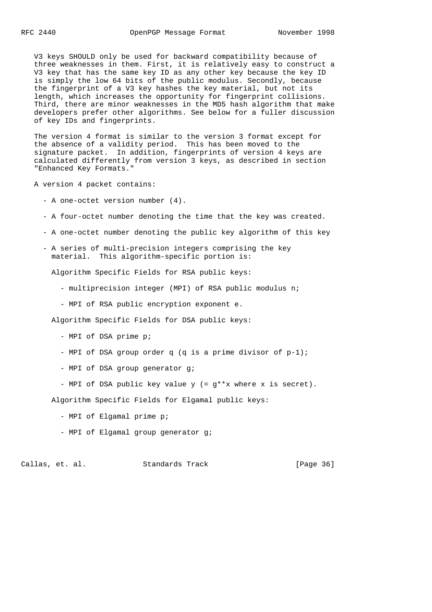V3 keys SHOULD only be used for backward compatibility because of three weaknesses in them. First, it is relatively easy to construct a V3 key that has the same key ID as any other key because the key ID is simply the low 64 bits of the public modulus. Secondly, because the fingerprint of a V3 key hashes the key material, but not its length, which increases the opportunity for fingerprint collisions. Third, there are minor weaknesses in the MD5 hash algorithm that make developers prefer other algorithms. See below for a fuller discussion of key IDs and fingerprints.

 The version 4 format is similar to the version 3 format except for the absence of a validity period. This has been moved to the signature packet. In addition, fingerprints of version 4 keys are calculated differently from version 3 keys, as described in section "Enhanced Key Formats."

A version 4 packet contains:

- A one-octet version number (4).
- A four-octet number denoting the time that the key was created.
- A one-octet number denoting the public key algorithm of this key
- A series of multi-precision integers comprising the key material. This algorithm-specific portion is:

Algorithm Specific Fields for RSA public keys:

- multiprecision integer (MPI) of RSA public modulus n;
- MPI of RSA public encryption exponent e.

Algorithm Specific Fields for DSA public keys:

- MPI of DSA prime p;
- MPI of DSA group order q (q is a prime divisor of p-1);
- MPI of DSA group generator g;
- MPI of DSA public key value y (= g\*\*x where x is secret).

Algorithm Specific Fields for Elgamal public keys:

- MPI of Elgamal prime p;
- MPI of Elgamal group generator g;

Callas, et. al. Standards Track [Page 36]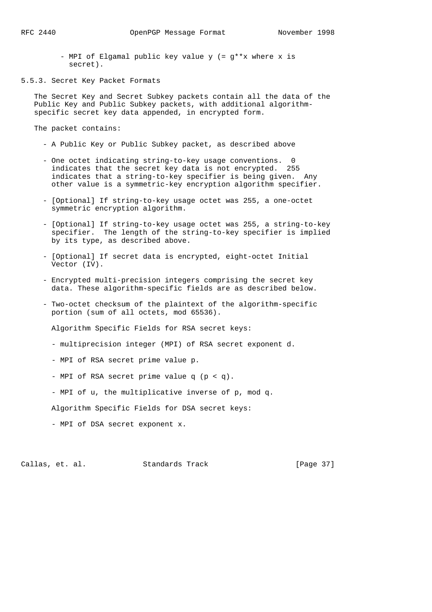- MPI of Elgamal public key value y (= g\*\*x where x is secret).
- 5.5.3. Secret Key Packet Formats

 The Secret Key and Secret Subkey packets contain all the data of the Public Key and Public Subkey packets, with additional algorithm specific secret key data appended, in encrypted form.

The packet contains:

- A Public Key or Public Subkey packet, as described above
- One octet indicating string-to-key usage conventions. 0 indicates that the secret key data is not encrypted. 255 indicates that a string-to-key specifier is being given. Any other value is a symmetric-key encryption algorithm specifier.
- [Optional] If string-to-key usage octet was 255, a one-octet symmetric encryption algorithm.
- [Optional] If string-to-key usage octet was 255, a string-to-key specifier. The length of the string-to-key specifier is implied by its type, as described above.
- [Optional] If secret data is encrypted, eight-octet Initial Vector (IV).
- Encrypted multi-precision integers comprising the secret key data. These algorithm-specific fields are as described below.
- Two-octet checksum of the plaintext of the algorithm-specific portion (sum of all octets, mod 65536).

Algorithm Specific Fields for RSA secret keys:

- multiprecision integer (MPI) of RSA secret exponent d.
- MPI of RSA secret prime value p.
- MPI of RSA secret prime value q (p < q).
- MPI of u, the multiplicative inverse of p, mod q.

Algorithm Specific Fields for DSA secret keys:

- MPI of DSA secret exponent x.

Callas, et. al. Standards Track [Page 37]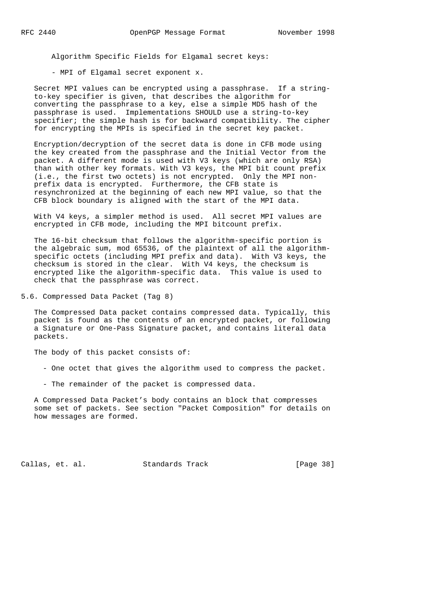Algorithm Specific Fields for Elgamal secret keys:

- MPI of Elgamal secret exponent x.

 Secret MPI values can be encrypted using a passphrase. If a string to-key specifier is given, that describes the algorithm for converting the passphrase to a key, else a simple MD5 hash of the passphrase is used. Implementations SHOULD use a string-to-key specifier; the simple hash is for backward compatibility. The cipher for encrypting the MPIs is specified in the secret key packet.

 Encryption/decryption of the secret data is done in CFB mode using the key created from the passphrase and the Initial Vector from the packet. A different mode is used with V3 keys (which are only RSA) than with other key formats. With V3 keys, the MPI bit count prefix (i.e., the first two octets) is not encrypted. Only the MPI non prefix data is encrypted. Furthermore, the CFB state is resynchronized at the beginning of each new MPI value, so that the CFB block boundary is aligned with the start of the MPI data.

 With V4 keys, a simpler method is used. All secret MPI values are encrypted in CFB mode, including the MPI bitcount prefix.

 The 16-bit checksum that follows the algorithm-specific portion is the algebraic sum, mod 65536, of the plaintext of all the algorithm specific octets (including MPI prefix and data). With V3 keys, the checksum is stored in the clear. With V4 keys, the checksum is encrypted like the algorithm-specific data. This value is used to check that the passphrase was correct.

5.6. Compressed Data Packet (Tag 8)

 The Compressed Data packet contains compressed data. Typically, this packet is found as the contents of an encrypted packet, or following a Signature or One-Pass Signature packet, and contains literal data packets.

The body of this packet consists of:

- One octet that gives the algorithm used to compress the packet.
- The remainder of the packet is compressed data.

 A Compressed Data Packet's body contains an block that compresses some set of packets. See section "Packet Composition" for details on how messages are formed.

Callas, et. al. Standards Track [Page 38]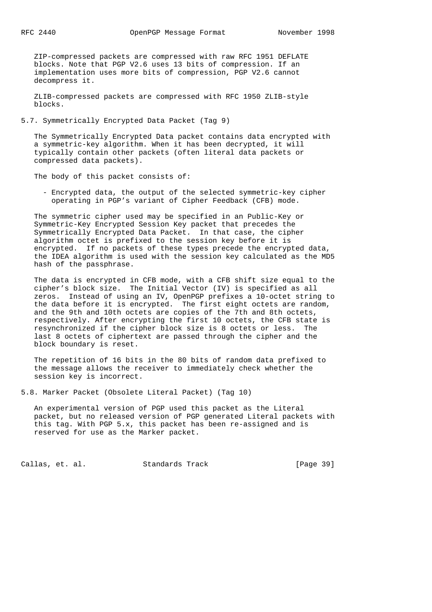ZIP-compressed packets are compressed with raw RFC 1951 DEFLATE blocks. Note that PGP V2.6 uses 13 bits of compression. If an implementation uses more bits of compression, PGP V2.6 cannot decompress it.

 ZLIB-compressed packets are compressed with RFC 1950 ZLIB-style blocks.

5.7. Symmetrically Encrypted Data Packet (Tag 9)

 The Symmetrically Encrypted Data packet contains data encrypted with a symmetric-key algorithm. When it has been decrypted, it will typically contain other packets (often literal data packets or compressed data packets).

The body of this packet consists of:

 - Encrypted data, the output of the selected symmetric-key cipher operating in PGP's variant of Cipher Feedback (CFB) mode.

 The symmetric cipher used may be specified in an Public-Key or Symmetric-Key Encrypted Session Key packet that precedes the Symmetrically Encrypted Data Packet. In that case, the cipher algorithm octet is prefixed to the session key before it is encrypted. If no packets of these types precede the encrypted data, the IDEA algorithm is used with the session key calculated as the MD5 hash of the passphrase.

 The data is encrypted in CFB mode, with a CFB shift size equal to the cipher's block size. The Initial Vector (IV) is specified as all zeros. Instead of using an IV, OpenPGP prefixes a 10-octet string to the data before it is encrypted. The first eight octets are random, and the 9th and 10th octets are copies of the 7th and 8th octets, respectively. After encrypting the first 10 octets, the CFB state is resynchronized if the cipher block size is 8 octets or less. The last 8 octets of ciphertext are passed through the cipher and the block boundary is reset.

 The repetition of 16 bits in the 80 bits of random data prefixed to the message allows the receiver to immediately check whether the session key is incorrect.

5.8. Marker Packet (Obsolete Literal Packet) (Tag 10)

 An experimental version of PGP used this packet as the Literal packet, but no released version of PGP generated Literal packets with this tag. With PGP 5.x, this packet has been re-assigned and is reserved for use as the Marker packet.

Callas, et. al. Standards Track [Page 39]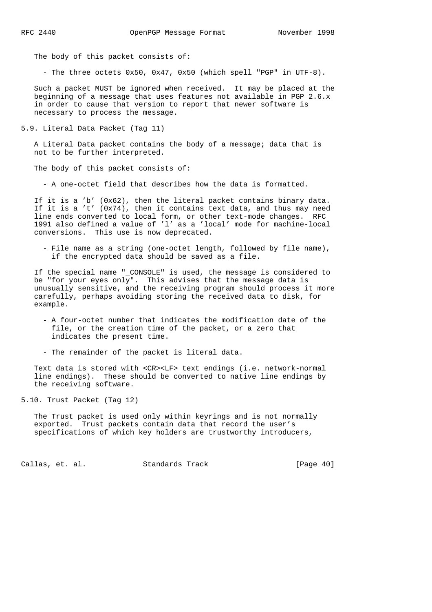The body of this packet consists of:

- The three octets 0x50, 0x47, 0x50 (which spell "PGP" in UTF-8).

 Such a packet MUST be ignored when received. It may be placed at the beginning of a message that uses features not available in PGP 2.6.x in order to cause that version to report that newer software is necessary to process the message.

5.9. Literal Data Packet (Tag 11)

 A Literal Data packet contains the body of a message; data that is not to be further interpreted.

The body of this packet consists of:

- A one-octet field that describes how the data is formatted.

 If it is a 'b' (0x62), then the literal packet contains binary data. If it is a 't' (0x74), then it contains text data, and thus may need line ends converted to local form, or other text-mode changes. RFC 1991 also defined a value of 'l' as a 'local' mode for machine-local conversions. This use is now deprecated.

 - File name as a string (one-octet length, followed by file name), if the encrypted data should be saved as a file.

 If the special name "\_CONSOLE" is used, the message is considered to be "for your eyes only". This advises that the message data is unusually sensitive, and the receiving program should process it more carefully, perhaps avoiding storing the received data to disk, for example.

 - A four-octet number that indicates the modification date of the file, or the creation time of the packet, or a zero that indicates the present time.

- The remainder of the packet is literal data.

 Text data is stored with <CR><LF> text endings (i.e. network-normal line endings). These should be converted to native line endings by the receiving software.

5.10. Trust Packet (Tag 12)

 The Trust packet is used only within keyrings and is not normally exported. Trust packets contain data that record the user's specifications of which key holders are trustworthy introducers,

Callas, et. al. Standards Track [Page 40]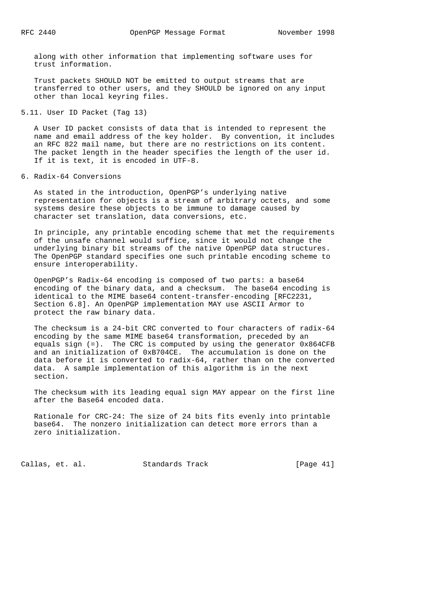along with other information that implementing software uses for trust information.

 Trust packets SHOULD NOT be emitted to output streams that are transferred to other users, and they SHOULD be ignored on any input other than local keyring files.

# 5.11. User ID Packet (Tag 13)

 A User ID packet consists of data that is intended to represent the name and email address of the key holder. By convention, it includes an RFC 822 mail name, but there are no restrictions on its content. The packet length in the header specifies the length of the user id. If it is text, it is encoded in UTF-8.

## 6. Radix-64 Conversions

 As stated in the introduction, OpenPGP's underlying native representation for objects is a stream of arbitrary octets, and some systems desire these objects to be immune to damage caused by character set translation, data conversions, etc.

 In principle, any printable encoding scheme that met the requirements of the unsafe channel would suffice, since it would not change the underlying binary bit streams of the native OpenPGP data structures. The OpenPGP standard specifies one such printable encoding scheme to ensure interoperability.

 OpenPGP's Radix-64 encoding is composed of two parts: a base64 encoding of the binary data, and a checksum. The base64 encoding is identical to the MIME base64 content-transfer-encoding [RFC2231, Section 6.8]. An OpenPGP implementation MAY use ASCII Armor to protect the raw binary data.

 The checksum is a 24-bit CRC converted to four characters of radix-64 encoding by the same MIME base64 transformation, preceded by an equals sign (=). The CRC is computed by using the generator 0x864CFB and an initialization of 0xB704CE. The accumulation is done on the data before it is converted to radix-64, rather than on the converted data. A sample implementation of this algorithm is in the next section.

 The checksum with its leading equal sign MAY appear on the first line after the Base64 encoded data.

 Rationale for CRC-24: The size of 24 bits fits evenly into printable base64. The nonzero initialization can detect more errors than a zero initialization.

Callas, et. al. Standards Track [Page 41]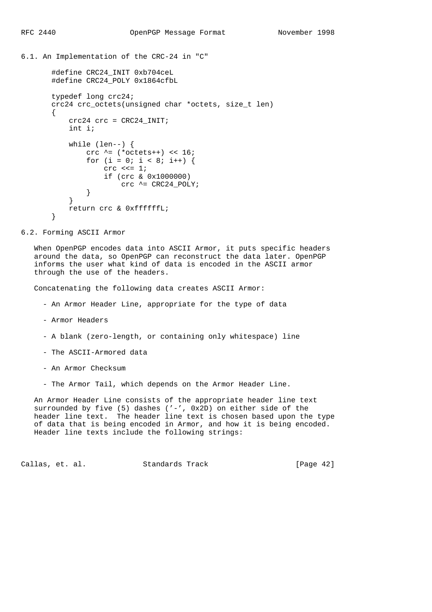```
6.1. An Implementation of the CRC-24 in "C"
```

```
 #define CRC24_INIT 0xb704ceL
        #define CRC24_POLY 0x1864cfbL
        typedef long crc24;
        crc24 crc_octets(unsigned char *octets, size_t len)
        {
            crc24 crc = CRC24_INIT;
            int i;
           while (len--) {
               crc \texttt{^*} = (\texttt{*octets++}) << 16;
               for (i = 0; i < 8; i++) {
                   \csc \prec = 1;
                    if (crc & 0x1000000)
                        crc ^= CRC24_POLY;
 }
 }
            return crc & 0xffffffL;
        }
```

```
6.2. Forming ASCII Armor
```
 When OpenPGP encodes data into ASCII Armor, it puts specific headers around the data, so OpenPGP can reconstruct the data later. OpenPGP informs the user what kind of data is encoded in the ASCII armor through the use of the headers.

Concatenating the following data creates ASCII Armor:

- An Armor Header Line, appropriate for the type of data
- Armor Headers
- A blank (zero-length, or containing only whitespace) line
- The ASCII-Armored data
- An Armor Checksum
- The Armor Tail, which depends on the Armor Header Line.

 An Armor Header Line consists of the appropriate header line text surrounded by five (5) dashes  $(' -', 0x2D)$  on either side of the header line text. The header line text is chosen based upon the type of data that is being encoded in Armor, and how it is being encoded. Header line texts include the following strings:

Callas, et. al. Standards Track [Page 42]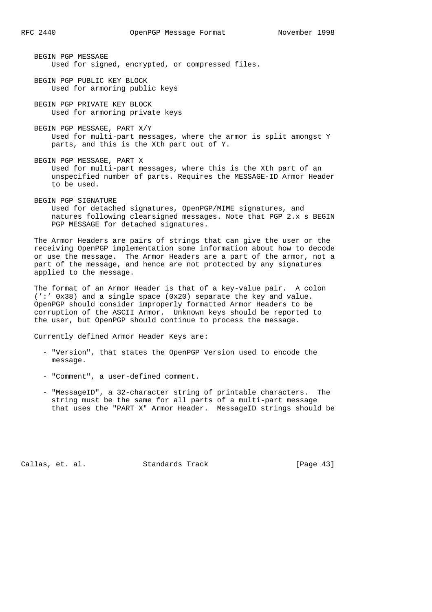- BEGIN PGP MESSAGE Used for signed, encrypted, or compressed files.
- BEGIN PGP PUBLIC KEY BLOCK Used for armoring public keys
- BEGIN PGP PRIVATE KEY BLOCK Used for armoring private keys
- BEGIN PGP MESSAGE, PART X/Y Used for multi-part messages, where the armor is split amongst Y parts, and this is the Xth part out of Y.
- BEGIN PGP MESSAGE, PART X Used for multi-part messages, where this is the Xth part of an unspecified number of parts. Requires the MESSAGE-ID Armor Header to be used.
- BEGIN PGP SIGNATURE Used for detached signatures, OpenPGP/MIME signatures, and natures following clearsigned messages. Note that PGP 2.x s BEGIN PGP MESSAGE for detached signatures.

 The Armor Headers are pairs of strings that can give the user or the receiving OpenPGP implementation some information about how to decode or use the message. The Armor Headers are a part of the armor, not a part of the message, and hence are not protected by any signatures applied to the message.

 The format of an Armor Header is that of a key-value pair. A colon (':' 0x38) and a single space (0x20) separate the key and value. OpenPGP should consider improperly formatted Armor Headers to be corruption of the ASCII Armor. Unknown keys should be reported to the user, but OpenPGP should continue to process the message.

Currently defined Armor Header Keys are:

- "Version", that states the OpenPGP Version used to encode the message.
- "Comment", a user-defined comment.
- "MessageID", a 32-character string of printable characters. The string must be the same for all parts of a multi-part message that uses the "PART X" Armor Header. MessageID strings should be

Callas, et. al. Standards Track [Page 43]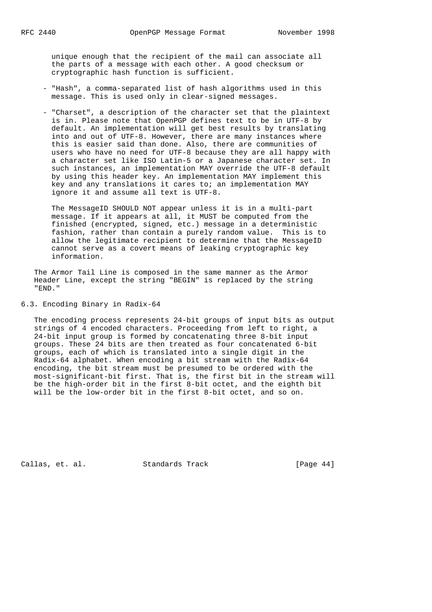unique enough that the recipient of the mail can associate all the parts of a message with each other. A good checksum or cryptographic hash function is sufficient.

- "Hash", a comma-separated list of hash algorithms used in this message. This is used only in clear-signed messages.
- "Charset", a description of the character set that the plaintext is in. Please note that OpenPGP defines text to be in UTF-8 by default. An implementation will get best results by translating into and out of UTF-8. However, there are many instances where this is easier said than done. Also, there are communities of users who have no need for UTF-8 because they are all happy with a character set like ISO Latin-5 or a Japanese character set. In such instances, an implementation MAY override the UTF-8 default by using this header key. An implementation MAY implement this key and any translations it cares to; an implementation MAY ignore it and assume all text is UTF-8.

 The MessageID SHOULD NOT appear unless it is in a multi-part message. If it appears at all, it MUST be computed from the finished (encrypted, signed, etc.) message in a deterministic fashion, rather than contain a purely random value. This is to allow the legitimate recipient to determine that the MessageID cannot serve as a covert means of leaking cryptographic key information.

 The Armor Tail Line is composed in the same manner as the Armor Header Line, except the string "BEGIN" is replaced by the string "END."

6.3. Encoding Binary in Radix-64

 The encoding process represents 24-bit groups of input bits as output strings of 4 encoded characters. Proceeding from left to right, a 24-bit input group is formed by concatenating three 8-bit input groups. These 24 bits are then treated as four concatenated 6-bit groups, each of which is translated into a single digit in the Radix-64 alphabet. When encoding a bit stream with the Radix-64 encoding, the bit stream must be presumed to be ordered with the most-significant-bit first. That is, the first bit in the stream will be the high-order bit in the first 8-bit octet, and the eighth bit will be the low-order bit in the first 8-bit octet, and so on.

Callas, et. al. Standards Track [Page 44]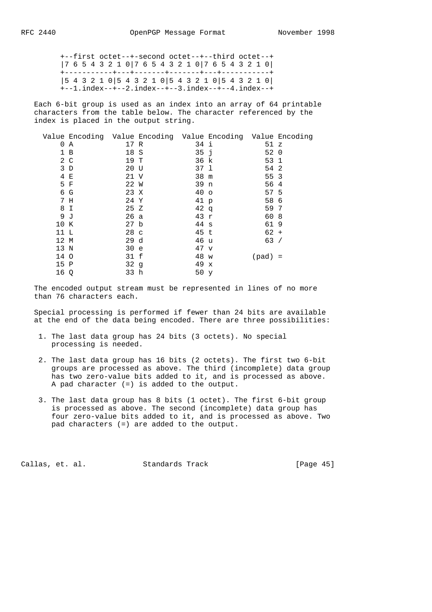+--first octet--+-second octet--+--third octet--+ |7 6 5 4 3 2 1 0|7 6 5 4 3 2 1 0|7 6 5 4 3 2 1 0| +-----------+---+-------+-------+---+-----------+ |5 4 3 2 1 0|5 4 3 2 1 0|5 4 3 2 1 0|5 4 3 2 1 0| +--1.index--+--2.index--+--3.index--+--4.index--+

 Each 6-bit group is used as an index into an array of 64 printable characters from the table below. The character referenced by the index is placed in the output string.

|      | Value Encoding Value Encoding Value Encoding Value Encoding |                 |                 |           |  |
|------|-------------------------------------------------------------|-----------------|-----------------|-----------|--|
|      | 0 A                                                         | 17 R            | 34 i            | 51 z      |  |
|      | 1 B                                                         | 18 S            | 35j             | 52 0      |  |
|      | 2 C                                                         | 19 T            | 36 k            | 53 1      |  |
|      | 3D                                                          | 20 U            | 37 1            | 54 2      |  |
|      | 4 E                                                         | 21 V            | 38 m            | 55 3      |  |
|      | 5 F                                                         | 22 W            | 39 n            | 56 4      |  |
|      | 6 G                                                         | 23 X            | 40 <sub>o</sub> | 57 5      |  |
|      | 7 H                                                         | 24 Y            | 41 p            | 58 6      |  |
|      | 8 I                                                         | 25 Z            | $42 \sigma$     | 59 7      |  |
| 9 J  |                                                             | 26 a            | 43 r            | 60 8      |  |
| 10 K |                                                             | 27 <sub>b</sub> | 44 s            | 619       |  |
| 11 L |                                                             | 28 c            | 45 t            | $62 +$    |  |
| 12 M |                                                             | 29d             | 46 u            | 63/       |  |
| 13 N |                                                             | 30 e            | $47 \text{ v}$  |           |  |
| 14 O |                                                             | 31 f            | 48 w            | $(pad) =$ |  |
| 15 P |                                                             | 32q             | 49 x            |           |  |
| 16 Q |                                                             | 33 h            | 50 y            |           |  |
|      |                                                             |                 |                 |           |  |

 The encoded output stream must be represented in lines of no more than 76 characters each.

 Special processing is performed if fewer than 24 bits are available at the end of the data being encoded. There are three possibilities:

- 1. The last data group has 24 bits (3 octets). No special processing is needed.
- 2. The last data group has 16 bits (2 octets). The first two 6-bit groups are processed as above. The third (incomplete) data group has two zero-value bits added to it, and is processed as above. A pad character (=) is added to the output.
- 3. The last data group has 8 bits (1 octet). The first 6-bit group is processed as above. The second (incomplete) data group has four zero-value bits added to it, and is processed as above. Two pad characters (=) are added to the output.

Callas, et. al. Standards Track [Page 45]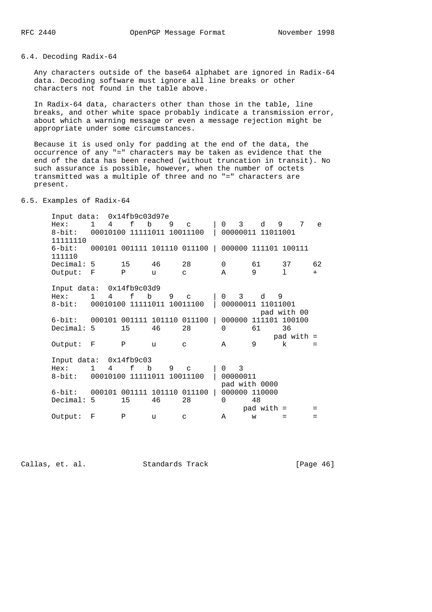6.4. Decoding Radix-64

 Any characters outside of the base64 alphabet are ignored in Radix-64 data. Decoding software must ignore all line breaks or other characters not found in the table above.

 In Radix-64 data, characters other than those in the table, line breaks, and other white space probably indicate a transmission error, about which a warning message or even a message rejection might be appropriate under some circumstances.

 Because it is used only for padding at the end of the data, the occurrence of any "=" characters may be taken as evidence that the end of the data has been reached (without truncation in transit). No such assurance is possible, however, when the number of octets transmitted was a multiple of three and no "=" characters are present.

6.5. Examples of Radix-64

 Input data: 0x14fb9c03d97e Hex: 1 4 f b 9 c | 0 3 d 9 7 e 8-bit: 00010100 11111011 10011100 | 00000011 11011001 11111110 6-bit: 000101 001111 101110 011100 | 000000 111101 100111 111110<br>Decimal: 5 Decimal: 5 15 46 28 0 61 37 62 Output: F P u c A 9 l + Input data: 0x14fb9c03d9 Hex: 1 4 f b 9 c | 0 3 d 9 8-bit: 00010100 11111011 10011100 | 00000011 11011001 pad with 00 6-bit: 000101 001111 101110 011100 | 000000 111101 100100 Decimal: 5 15 46 28 0 61 36 pad with  $=$  Output: F P u c A 9 k = Input data: 0x14fb9c03 Hex: 1 4 f b 9 c | 0 3 8-bit: 00010100 11111011 10011100 | 00000011 pad with 0000 6-bit: 000101 001111 101110 011100 | 000000 110000 Decimal: 5 15 46 28 0 48  $pad with =$ <br>  $w =$  = = Output: F P u c A

Callas, et. al. Standards Track [Page 46]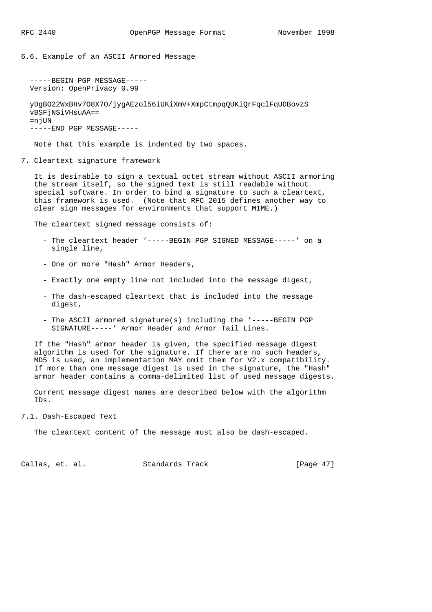6.6. Example of an ASCII Armored Message

```
 -----BEGIN PGP MESSAGE-----
 Version: OpenPrivacy 0.99
```
 yDgBO22WxBHv7O8X7O/jygAEzol56iUKiXmV+XmpCtmpqQUKiQrFqclFqUDBovzS vBSFjNSiVHsuAA==  $=n$  $iUN$ -----END PGP MESSAGE-----

Note that this example is indented by two spaces.

7. Cleartext signature framework

 It is desirable to sign a textual octet stream without ASCII armoring the stream itself, so the signed text is still readable without special software. In order to bind a signature to such a cleartext, this framework is used. (Note that RFC 2015 defines another way to clear sign messages for environments that support MIME.)

The cleartext signed message consists of:

- The cleartext header '-----BEGIN PGP SIGNED MESSAGE-----' on a single line,
- One or more "Hash" Armor Headers,
- Exactly one empty line not included into the message digest,
- The dash-escaped cleartext that is included into the message digest,
- The ASCII armored signature(s) including the '-----BEGIN PGP SIGNATURE-----' Armor Header and Armor Tail Lines.

 If the "Hash" armor header is given, the specified message digest algorithm is used for the signature. If there are no such headers, MD5 is used, an implementation MAY omit them for V2.x compatibility. If more than one message digest is used in the signature, the "Hash" armor header contains a comma-delimited list of used message digests.

 Current message digest names are described below with the algorithm IDs.

# 7.1. Dash-Escaped Text

The cleartext content of the message must also be dash-escaped.

Callas, et. al. Standards Track [Page 47]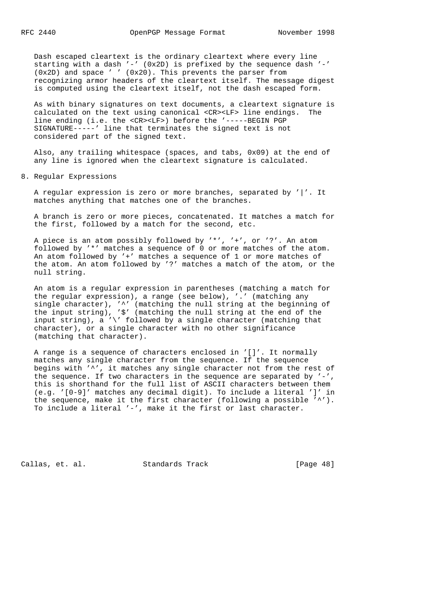Dash escaped cleartext is the ordinary cleartext where every line starting with a dash  $'-'$  (0x2D) is prefixed by the sequence dash  $'-'$  (0x2D) and space ' ' (0x20). This prevents the parser from recognizing armor headers of the cleartext itself. The message digest is computed using the cleartext itself, not the dash escaped form.

 As with binary signatures on text documents, a cleartext signature is calculated on the text using canonical <CR><LF> line endings. The line ending (i.e. the <CR><LF>) before the '-----BEGIN PGP SIGNATURE-----' line that terminates the signed text is not considered part of the signed text.

 Also, any trailing whitespace (spaces, and tabs, 0x09) at the end of any line is ignored when the cleartext signature is calculated.

8. Regular Expressions

 A regular expression is zero or more branches, separated by '|'. It matches anything that matches one of the branches.

 A branch is zero or more pieces, concatenated. It matches a match for the first, followed by a match for the second, etc.

 A piece is an atom possibly followed by '\*', '+', or '?'. An atom followed by '\*' matches a sequence of 0 or more matches of the atom. An atom followed by '+' matches a sequence of 1 or more matches of the atom. An atom followed by '?' matches a match of the atom, or the null string.

 An atom is a regular expression in parentheses (matching a match for the regular expression), a range (see below), '.' (matching any single character), '^' (matching the null string at the beginning of the input string), '\$' (matching the null string at the end of the input string),  $a' \backslash'$  followed by a single character (matching that character), or a single character with no other significance (matching that character).

 A range is a sequence of characters enclosed in '[]'. It normally matches any single character from the sequence. If the sequence begins with '^', it matches any single character not from the rest of the sequence. If two characters in the sequence are separated by '-', this is shorthand for the full list of ASCII characters between them (e.g. '[0-9]' matches any decimal digit). To include a literal ']' in the sequence, make it the first character (following a possible '^'). To include a literal '-', make it the first or last character.

Callas, et. al. Standards Track [Page 48]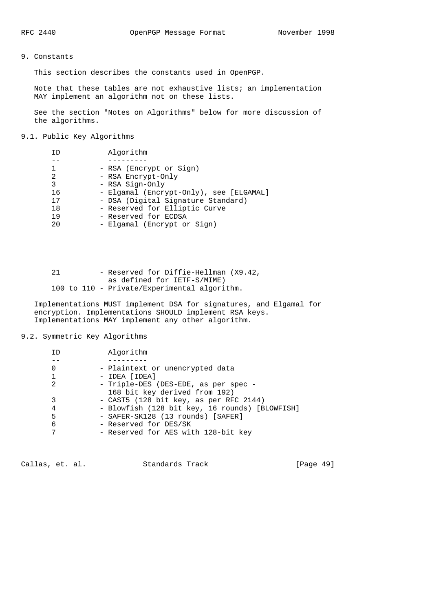# 9. Constants

This section describes the constants used in OpenPGP.

 Note that these tables are not exhaustive lists; an implementation MAY implement an algorithm not on these lists.

 See the section "Notes on Algorithms" below for more discussion of the algorithms.

# 9.1. Public Key Algorithms

| TD             | Algorithm                               |
|----------------|-----------------------------------------|
|                |                                         |
|                | - RSA (Encrypt or Sign)                 |
| $\mathfrak{D}$ | - RSA Encrypt-Only                      |
| 3              | - RSA Sign-Only                         |
| 16             | - Elgamal (Encrypt-Only), see [ELGAMAL] |
| 17             | - DSA (Digital Signature Standard)      |
| 1 R            | - Reserved for Elliptic Curve           |
| 19             | - Reserved for ECDSA                    |
| 20             | - Elgamal (Encrypt or Sign)             |

 21 - Reserved for Diffie-Hellman (X9.42, as defined for IETF-S/MIME) 100 to 110 - Private/Experimental algorithm.

 Implementations MUST implement DSA for signatures, and Elgamal for encryption. Implementations SHOULD implement RSA keys. Implementations MAY implement any other algorithm.

# 9.2. Symmetric Key Algorithms

| ΙD | Algorithm                                                             |
|----|-----------------------------------------------------------------------|
|    |                                                                       |
| 0  | - Plaintext or unencrypted data                                       |
|    | - IDEA [IDEA]                                                         |
|    | - Triple-DES (DES-EDE, as per spec -<br>168 bit key derived from 192) |
|    | - CAST5 (128 bit key, as per RFC 2144)                                |
| 4  | - Blowfish (128 bit key, 16 rounds) [BLOWFISH]                        |
| 5  | - SAFER-SK128 (13 rounds) [SAFER]                                     |
| 6  | - Reserved for DES/SK                                                 |
|    | - Reserved for AES with 128-bit key                                   |

Callas, et. al. Standards Track [Page 49]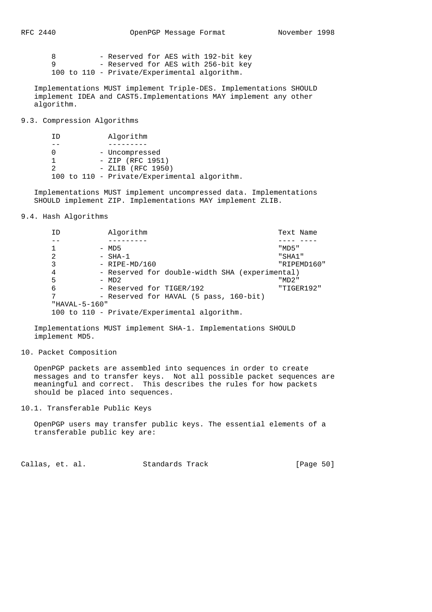| RFC | 2440 |  |  |
|-----|------|--|--|
|-----|------|--|--|

|  |  | - Reserved for AES with 192-bit key          |  |  |  |
|--|--|----------------------------------------------|--|--|--|
|  |  | - Reserved for AES with 256-bit key          |  |  |  |
|  |  | 100 to 110 - Private/Experimental algorithm. |  |  |  |

 Implementations MUST implement Triple-DES. Implementations SHOULD implement IDEA and CAST5.Implementations MAY implement any other algorithm.

9.3. Compression Algorithms

 ID Algorithm -- --------- 0 - Uncompressed 1 - ZIP (RFC 1951) 2 - ZLIB (RFC 1950) 100 to 110 - Private/Experimental algorithm.

 Implementations MUST implement uncompressed data. Implementations SHOULD implement ZIP. Implementations MAY implement ZLIB.

9.4. Hash Algorithms

| ΙD            | Algorithm                                      | Text Name   |
|---------------|------------------------------------------------|-------------|
|               |                                                |             |
|               | $-$ MD5                                        | "MD5"       |
| 2             | - SHA-1                                        | "SHA1"      |
| 3             | $-$ RIPE-MD/160                                | "RIPEMD160" |
| 4             | - Reserved for double-width SHA (experimental) |             |
| 5             | $-$ MD2                                        | "MD2"       |
| 6             | - Reserved for TIGER/192                       | "TIGER192"  |
| 7             | - Reserved for HAVAL (5 pass, 160-bit)         |             |
| "HAVAL-5-160" |                                                |             |
|               | 100 to 110 - Private/Experimental algorithm.   |             |

 Implementations MUST implement SHA-1. Implementations SHOULD implement MD5.

### 10. Packet Composition

 OpenPGP packets are assembled into sequences in order to create messages and to transfer keys. Not all possible packet sequences are meaningful and correct. This describes the rules for how packets should be placed into sequences.

10.1. Transferable Public Keys

 OpenPGP users may transfer public keys. The essential elements of a transferable public key are:

Callas, et. al. Standards Track [Page 50]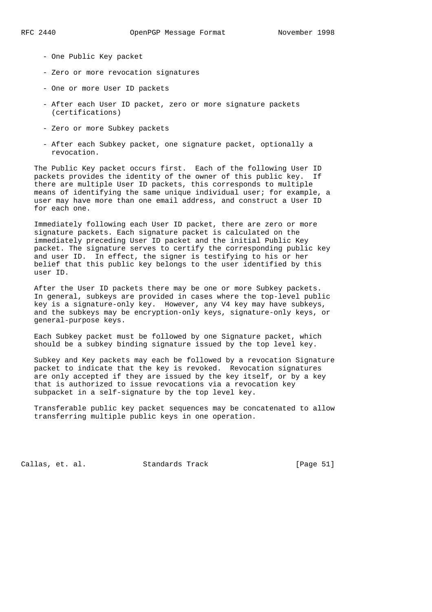- One Public Key packet
- Zero or more revocation signatures
- One or more User ID packets
- After each User ID packet, zero or more signature packets (certifications)
- Zero or more Subkey packets
- After each Subkey packet, one signature packet, optionally a revocation.

 The Public Key packet occurs first. Each of the following User ID packets provides the identity of the owner of this public key. If there are multiple User ID packets, this corresponds to multiple means of identifying the same unique individual user; for example, a user may have more than one email address, and construct a User ID for each one.

 Immediately following each User ID packet, there are zero or more signature packets. Each signature packet is calculated on the immediately preceding User ID packet and the initial Public Key packet. The signature serves to certify the corresponding public key and user ID. In effect, the signer is testifying to his or her belief that this public key belongs to the user identified by this user ID.

 After the User ID packets there may be one or more Subkey packets. In general, subkeys are provided in cases where the top-level public key is a signature-only key. However, any V4 key may have subkeys, and the subkeys may be encryption-only keys, signature-only keys, or general-purpose keys.

 Each Subkey packet must be followed by one Signature packet, which should be a subkey binding signature issued by the top level key.

 Subkey and Key packets may each be followed by a revocation Signature packet to indicate that the key is revoked. Revocation signatures are only accepted if they are issued by the key itself, or by a key that is authorized to issue revocations via a revocation key subpacket in a self-signature by the top level key.

 Transferable public key packet sequences may be concatenated to allow transferring multiple public keys in one operation.

Callas, et. al. Standards Track [Page 51]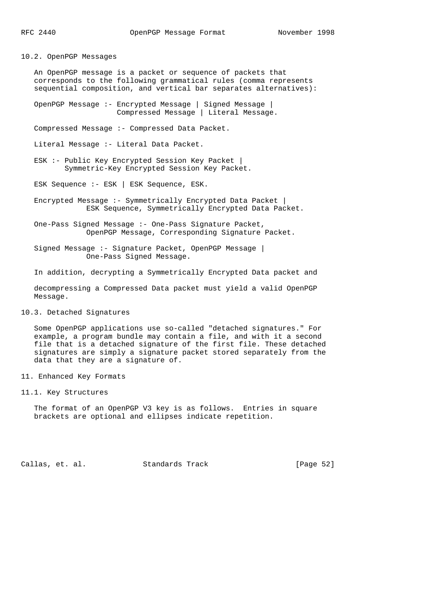10.2. OpenPGP Messages

 An OpenPGP message is a packet or sequence of packets that corresponds to the following grammatical rules (comma represents sequential composition, and vertical bar separates alternatives):

 OpenPGP Message :- Encrypted Message | Signed Message | Compressed Message | Literal Message.

Compressed Message :- Compressed Data Packet.

Literal Message :- Literal Data Packet.

 ESK :- Public Key Encrypted Session Key Packet | Symmetric-Key Encrypted Session Key Packet.

ESK Sequence :- ESK | ESK Sequence, ESK.

 Encrypted Message :- Symmetrically Encrypted Data Packet | ESK Sequence, Symmetrically Encrypted Data Packet.

 One-Pass Signed Message :- One-Pass Signature Packet, OpenPGP Message, Corresponding Signature Packet.

 Signed Message :- Signature Packet, OpenPGP Message | One-Pass Signed Message.

In addition, decrypting a Symmetrically Encrypted Data packet and

 decompressing a Compressed Data packet must yield a valid OpenPGP Message.

10.3. Detached Signatures

 Some OpenPGP applications use so-called "detached signatures." For example, a program bundle may contain a file, and with it a second file that is a detached signature of the first file. These detached signatures are simply a signature packet stored separately from the data that they are a signature of.

- 11. Enhanced Key Formats
- 11.1. Key Structures

 The format of an OpenPGP V3 key is as follows. Entries in square brackets are optional and ellipses indicate repetition.

Callas, et. al. Standards Track [Page 52]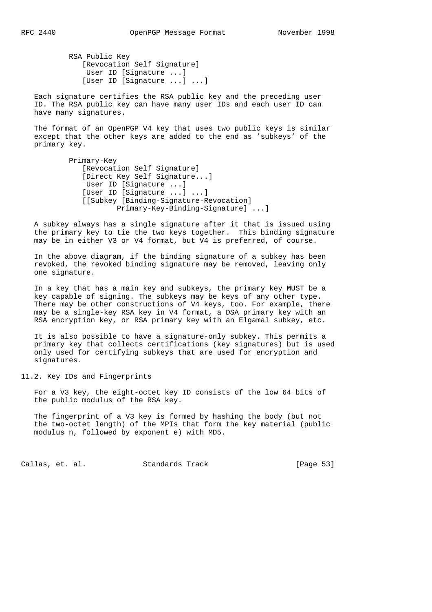RSA Public Key [Revocation Self Signature] User ID [Signature ...] [User ID [Signature ...] ...]

 Each signature certifies the RSA public key and the preceding user ID. The RSA public key can have many user IDs and each user ID can have many signatures.

 The format of an OpenPGP V4 key that uses two public keys is similar except that the other keys are added to the end as 'subkeys' of the primary key.

> Primary-Key [Revocation Self Signature] [Direct Key Self Signature...] User ID [Signature ...] [User ID [Signature ...] ...] [[Subkey [Binding-Signature-Revocation] Primary-Key-Binding-Signature] ...]

 A subkey always has a single signature after it that is issued using the primary key to tie the two keys together. This binding signature may be in either V3 or V4 format, but V4 is preferred, of course.

 In the above diagram, if the binding signature of a subkey has been revoked, the revoked binding signature may be removed, leaving only one signature.

 In a key that has a main key and subkeys, the primary key MUST be a key capable of signing. The subkeys may be keys of any other type. There may be other constructions of V4 keys, too. For example, there may be a single-key RSA key in V4 format, a DSA primary key with an RSA encryption key, or RSA primary key with an Elgamal subkey, etc.

 It is also possible to have a signature-only subkey. This permits a primary key that collects certifications (key signatures) but is used only used for certifying subkeys that are used for encryption and signatures.

11.2. Key IDs and Fingerprints

 For a V3 key, the eight-octet key ID consists of the low 64 bits of the public modulus of the RSA key.

 The fingerprint of a V3 key is formed by hashing the body (but not the two-octet length) of the MPIs that form the key material (public modulus n, followed by exponent e) with MD5.

Callas, et. al. Standards Track [Page 53]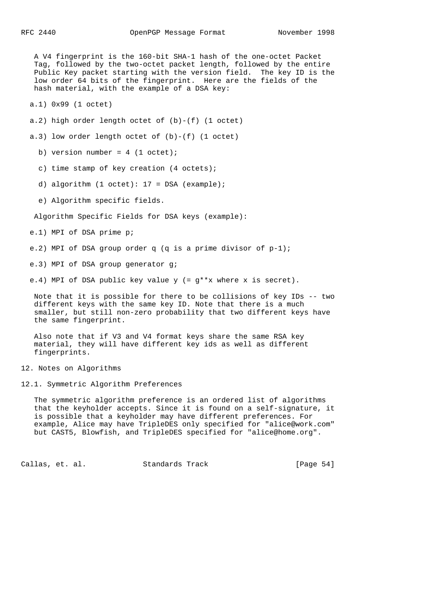A V4 fingerprint is the 160-bit SHA-1 hash of the one-octet Packet Tag, followed by the two-octet packet length, followed by the entire Public Key packet starting with the version field. The key ID is the low order 64 bits of the fingerprint. Here are the fields of the hash material, with the example of a DSA key: a.1) 0x99 (1 octet) a.2) high order length octet of  $(b)-(f)$  (1 octet) a.3) low order length octet of (b)-(f) (1 octet) b) version number =  $4$  (1 octet); c) time stamp of key creation (4 octets); d) algorithm  $(1 \text{ octet})$ : 17 = DSA  $(example)$ ; e) Algorithm specific fields. Algorithm Specific Fields for DSA keys (example): e.1) MPI of DSA prime p; e.2) MPI of DSA group order q (q is a prime divisor of p-1); e.3) MPI of DSA group generator g; e.4) MPI of DSA public key value  $y$  (=  $g**x$  where x is secret). Note that it is possible for there to be collisions of key IDs -- two different keys with the same key ID. Note that there is a much smaller, but still non-zero probability that two different keys have the same fingerprint. Also note that if V3 and V4 format keys share the same RSA key material, they will have different key ids as well as different fingerprints. 12. Notes on Algorithms 12.1. Symmetric Algorithm Preferences The symmetric algorithm preference is an ordered list of algorithms

 that the keyholder accepts. Since it is found on a self-signature, it is possible that a keyholder may have different preferences. For example, Alice may have TripleDES only specified for "alice@work.com" but CAST5, Blowfish, and TripleDES specified for "alice@home.org".

Callas, et. al. Standards Track [Page 54]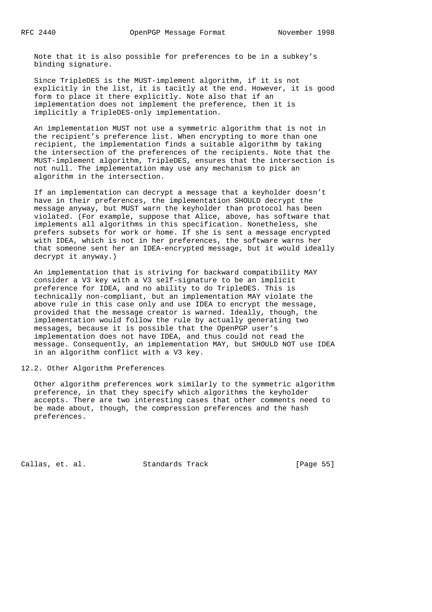Note that it is also possible for preferences to be in a subkey's binding signature.

 Since TripleDES is the MUST-implement algorithm, if it is not explicitly in the list, it is tacitly at the end. However, it is good form to place it there explicitly. Note also that if an implementation does not implement the preference, then it is implicitly a TripleDES-only implementation.

 An implementation MUST not use a symmetric algorithm that is not in the recipient's preference list. When encrypting to more than one recipient, the implementation finds a suitable algorithm by taking the intersection of the preferences of the recipients. Note that the MUST-implement algorithm, TripleDES, ensures that the intersection is not null. The implementation may use any mechanism to pick an algorithm in the intersection.

 If an implementation can decrypt a message that a keyholder doesn't have in their preferences, the implementation SHOULD decrypt the message anyway, but MUST warn the keyholder than protocol has been violated. (For example, suppose that Alice, above, has software that implements all algorithms in this specification. Nonetheless, she prefers subsets for work or home. If she is sent a message encrypted with IDEA, which is not in her preferences, the software warns her that someone sent her an IDEA-encrypted message, but it would ideally decrypt it anyway.)

 An implementation that is striving for backward compatibility MAY consider a V3 key with a V3 self-signature to be an implicit preference for IDEA, and no ability to do TripleDES. This is technically non-compliant, but an implementation MAY violate the above rule in this case only and use IDEA to encrypt the message, provided that the message creator is warned. Ideally, though, the implementation would follow the rule by actually generating two messages, because it is possible that the OpenPGP user's implementation does not have IDEA, and thus could not read the message. Consequently, an implementation MAY, but SHOULD NOT use IDEA in an algorithm conflict with a V3 key.

## 12.2. Other Algorithm Preferences

 Other algorithm preferences work similarly to the symmetric algorithm preference, in that they specify which algorithms the keyholder accepts. There are two interesting cases that other comments need to be made about, though, the compression preferences and the hash preferences.

Callas, et. al. Standards Track [Page 55]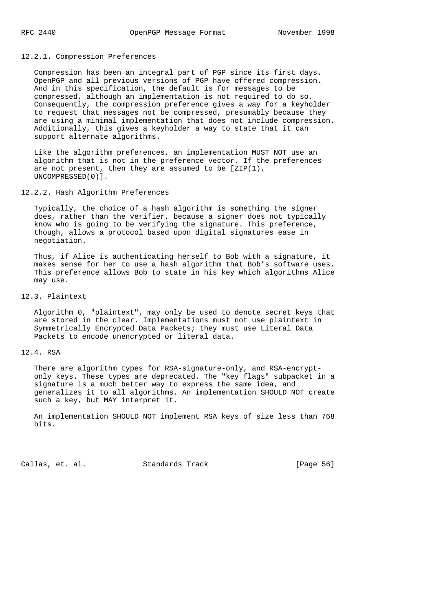### 12.2.1. Compression Preferences

 Compression has been an integral part of PGP since its first days. OpenPGP and all previous versions of PGP have offered compression. And in this specification, the default is for messages to be compressed, although an implementation is not required to do so. Consequently, the compression preference gives a way for a keyholder to request that messages not be compressed, presumably because they are using a minimal implementation that does not include compression. Additionally, this gives a keyholder a way to state that it can support alternate algorithms.

 Like the algorithm preferences, an implementation MUST NOT use an algorithm that is not in the preference vector. If the preferences are not present, then they are assumed to be  $[ZIP(1)]$ , UNCOMPRESSED(0)].

12.2.2. Hash Algorithm Preferences

 Typically, the choice of a hash algorithm is something the signer does, rather than the verifier, because a signer does not typically know who is going to be verifying the signature. This preference, though, allows a protocol based upon digital signatures ease in negotiation.

 Thus, if Alice is authenticating herself to Bob with a signature, it makes sense for her to use a hash algorithm that Bob's software uses. This preference allows Bob to state in his key which algorithms Alice may use.

12.3. Plaintext

 Algorithm 0, "plaintext", may only be used to denote secret keys that are stored in the clear. Implementations must not use plaintext in Symmetrically Encrypted Data Packets; they must use Literal Data Packets to encode unencrypted or literal data.

### 12.4. RSA

 There are algorithm types for RSA-signature-only, and RSA-encrypt only keys. These types are deprecated. The "key flags" subpacket in a signature is a much better way to express the same idea, and generalizes it to all algorithms. An implementation SHOULD NOT create such a key, but MAY interpret it.

 An implementation SHOULD NOT implement RSA keys of size less than 768 bits.

Callas, et. al. Standards Track [Page 56]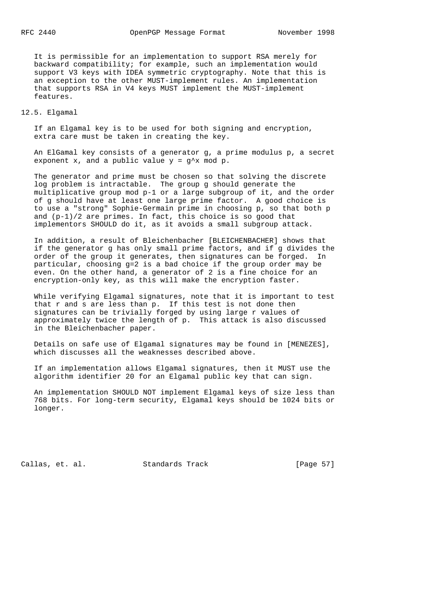It is permissible for an implementation to support RSA merely for backward compatibility; for example, such an implementation would support V3 keys with IDEA symmetric cryptography. Note that this is an exception to the other MUST-implement rules. An implementation that supports RSA in V4 keys MUST implement the MUST-implement features.

12.5. Elgamal

 If an Elgamal key is to be used for both signing and encryption, extra care must be taken in creating the key.

 An ElGamal key consists of a generator g, a prime modulus p, a secret exponent x, and a public value  $y = g^x$  mod p.

 The generator and prime must be chosen so that solving the discrete log problem is intractable. The group g should generate the multiplicative group mod p-1 or a large subgroup of it, and the order of g should have at least one large prime factor. A good choice is to use a "strong" Sophie-Germain prime in choosing p, so that both p and (p-1)/2 are primes. In fact, this choice is so good that implementors SHOULD do it, as it avoids a small subgroup attack.

 In addition, a result of Bleichenbacher [BLEICHENBACHER] shows that if the generator g has only small prime factors, and if g divides the order of the group it generates, then signatures can be forged. In particular, choosing g=2 is a bad choice if the group order may be even. On the other hand, a generator of 2 is a fine choice for an encryption-only key, as this will make the encryption faster.

 While verifying Elgamal signatures, note that it is important to test that r and s are less than p. If this test is not done then signatures can be trivially forged by using large r values of approximately twice the length of p. This attack is also discussed in the Bleichenbacher paper.

 Details on safe use of Elgamal signatures may be found in [MENEZES], which discusses all the weaknesses described above.

 If an implementation allows Elgamal signatures, then it MUST use the algorithm identifier 20 for an Elgamal public key that can sign.

 An implementation SHOULD NOT implement Elgamal keys of size less than 768 bits. For long-term security, Elgamal keys should be 1024 bits or longer.

Callas, et. al. Standards Track [Page 57]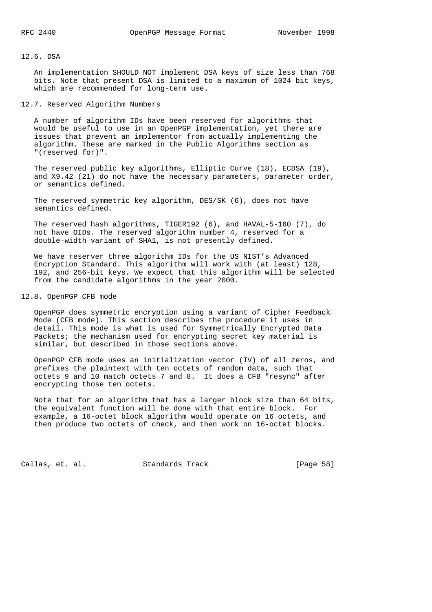### 12.6. DSA

 An implementation SHOULD NOT implement DSA keys of size less than 768 bits. Note that present DSA is limited to a maximum of 1024 bit keys, which are recommended for long-term use.

# 12.7. Reserved Algorithm Numbers

 A number of algorithm IDs have been reserved for algorithms that would be useful to use in an OpenPGP implementation, yet there are issues that prevent an implementor from actually implementing the algorithm. These are marked in the Public Algorithms section as "(reserved for)".

 The reserved public key algorithms, Elliptic Curve (18), ECDSA (19), and X9.42 (21) do not have the necessary parameters, parameter order, or semantics defined.

 The reserved symmetric key algorithm, DES/SK (6), does not have semantics defined.

 The reserved hash algorithms, TIGER192 (6), and HAVAL-5-160 (7), do not have OIDs. The reserved algorithm number 4, reserved for a double-width variant of SHA1, is not presently defined.

 We have reserver three algorithm IDs for the US NIST's Advanced Encryption Standard. This algorithm will work with (at least) 128, 192, and 256-bit keys. We expect that this algorithm will be selected from the candidate algorithms in the year 2000.

## 12.8. OpenPGP CFB mode

 OpenPGP does symmetric encryption using a variant of Cipher Feedback Mode (CFB mode). This section describes the procedure it uses in detail. This mode is what is used for Symmetrically Encrypted Data Packets; the mechanism used for encrypting secret key material is similar, but described in those sections above.

 OpenPGP CFB mode uses an initialization vector (IV) of all zeros, and prefixes the plaintext with ten octets of random data, such that octets 9 and 10 match octets 7 and 8. It does a CFB "resync" after encrypting those ten octets.

 Note that for an algorithm that has a larger block size than 64 bits, the equivalent function will be done with that entire block. For example, a 16-octet block algorithm would operate on 16 octets, and then produce two octets of check, and then work on 16-octet blocks.

Callas, et. al. Standards Track [Page 58]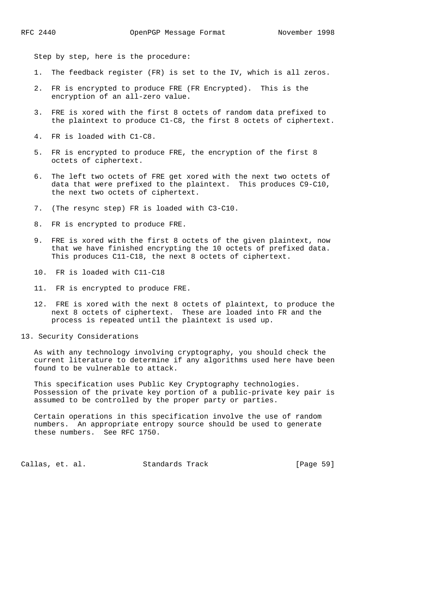Step by step, here is the procedure:

- 1. The feedback register (FR) is set to the IV, which is all zeros.
- 2. FR is encrypted to produce FRE (FR Encrypted). This is the encryption of an all-zero value.
- 3. FRE is xored with the first 8 octets of random data prefixed to the plaintext to produce C1-C8, the first 8 octets of ciphertext.
- 4. FR is loaded with C1-C8.
- 5. FR is encrypted to produce FRE, the encryption of the first 8 octets of ciphertext.
- 6. The left two octets of FRE get xored with the next two octets of data that were prefixed to the plaintext. This produces C9-C10, the next two octets of ciphertext.
- 7. (The resync step) FR is loaded with C3-C10.
- 8. FR is encrypted to produce FRE.
- 9. FRE is xored with the first 8 octets of the given plaintext, now that we have finished encrypting the 10 octets of prefixed data. This produces C11-C18, the next 8 octets of ciphertext.
- 10. FR is loaded with C11-C18
- 11. FR is encrypted to produce FRE.
- 12. FRE is xored with the next 8 octets of plaintext, to produce the next 8 octets of ciphertext. These are loaded into FR and the process is repeated until the plaintext is used up.
- 13. Security Considerations

 As with any technology involving cryptography, you should check the current literature to determine if any algorithms used here have been found to be vulnerable to attack.

 This specification uses Public Key Cryptography technologies. Possession of the private key portion of a public-private key pair is assumed to be controlled by the proper party or parties.

 Certain operations in this specification involve the use of random numbers. An appropriate entropy source should be used to generate these numbers. See RFC 1750.

Callas, et. al. Standards Track [Page 59]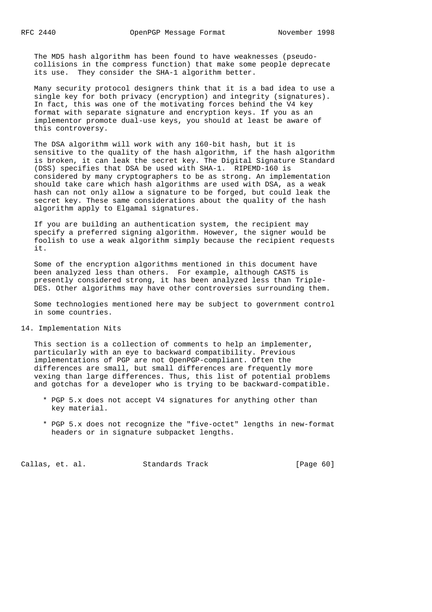The MD5 hash algorithm has been found to have weaknesses (pseudo collisions in the compress function) that make some people deprecate its use. They consider the SHA-1 algorithm better.

 Many security protocol designers think that it is a bad idea to use a single key for both privacy (encryption) and integrity (signatures). In fact, this was one of the motivating forces behind the V4 key format with separate signature and encryption keys. If you as an implementor promote dual-use keys, you should at least be aware of this controversy.

 The DSA algorithm will work with any 160-bit hash, but it is sensitive to the quality of the hash algorithm, if the hash algorithm is broken, it can leak the secret key. The Digital Signature Standard (DSS) specifies that DSA be used with SHA-1. RIPEMD-160 is considered by many cryptographers to be as strong. An implementation should take care which hash algorithms are used with DSA, as a weak hash can not only allow a signature to be forged, but could leak the secret key. These same considerations about the quality of the hash algorithm apply to Elgamal signatures.

 If you are building an authentication system, the recipient may specify a preferred signing algorithm. However, the signer would be foolish to use a weak algorithm simply because the recipient requests it.

 Some of the encryption algorithms mentioned in this document have been analyzed less than others. For example, although CAST5 is presently considered strong, it has been analyzed less than Triple- DES. Other algorithms may have other controversies surrounding them.

 Some technologies mentioned here may be subject to government control in some countries.

14. Implementation Nits

 This section is a collection of comments to help an implementer, particularly with an eye to backward compatibility. Previous implementations of PGP are not OpenPGP-compliant. Often the differences are small, but small differences are frequently more vexing than large differences. Thus, this list of potential problems and gotchas for a developer who is trying to be backward-compatible.

- \* PGP 5.x does not accept V4 signatures for anything other than key material.
- \* PGP 5.x does not recognize the "five-octet" lengths in new-format headers or in signature subpacket lengths.

Callas, et. al. Standards Track [Page 60]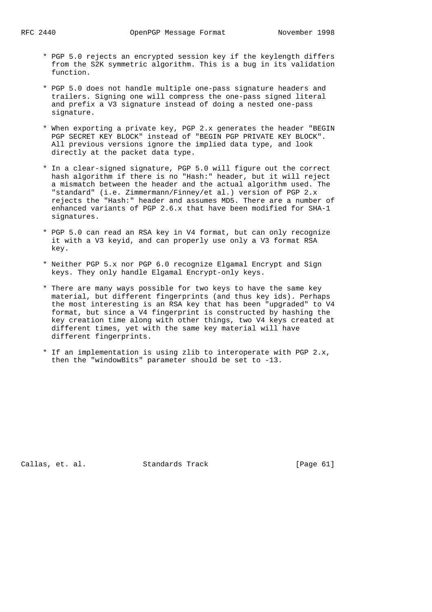- \* PGP 5.0 rejects an encrypted session key if the keylength differs from the S2K symmetric algorithm. This is a bug in its validation function.
- \* PGP 5.0 does not handle multiple one-pass signature headers and trailers. Signing one will compress the one-pass signed literal and prefix a V3 signature instead of doing a nested one-pass signature.
- \* When exporting a private key, PGP 2.x generates the header "BEGIN PGP SECRET KEY BLOCK" instead of "BEGIN PGP PRIVATE KEY BLOCK". All previous versions ignore the implied data type, and look directly at the packet data type.
- \* In a clear-signed signature, PGP 5.0 will figure out the correct hash algorithm if there is no "Hash:" header, but it will reject a mismatch between the header and the actual algorithm used. The "standard" (i.e. Zimmermann/Finney/et al.) version of PGP 2.x rejects the "Hash:" header and assumes MD5. There are a number of enhanced variants of PGP 2.6.x that have been modified for SHA-1 signatures.
- \* PGP 5.0 can read an RSA key in V4 format, but can only recognize it with a V3 keyid, and can properly use only a V3 format RSA key.
- \* Neither PGP 5.x nor PGP 6.0 recognize Elgamal Encrypt and Sign keys. They only handle Elgamal Encrypt-only keys.
- \* There are many ways possible for two keys to have the same key material, but different fingerprints (and thus key ids). Perhaps the most interesting is an RSA key that has been "upgraded" to V4 format, but since a V4 fingerprint is constructed by hashing the key creation time along with other things, two V4 keys created at different times, yet with the same key material will have different fingerprints.
- \* If an implementation is using zlib to interoperate with PGP 2.x, then the "windowBits" parameter should be set to -13.

Callas, et. al. Standards Track [Page 61]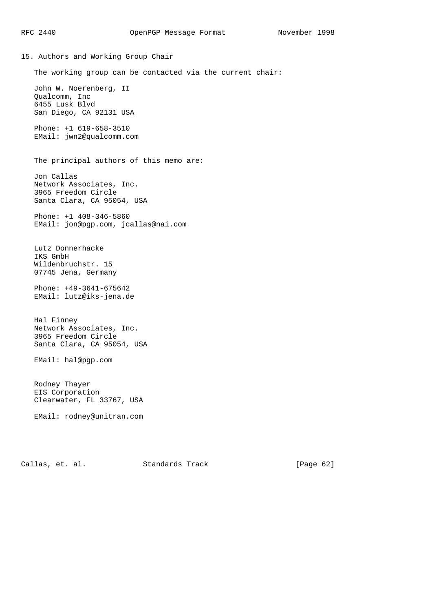15. Authors and Working Group Chair The working group can be contacted via the current chair: John W. Noerenberg, II Qualcomm, Inc 6455 Lusk Blvd San Diego, CA 92131 USA Phone: +1 619-658-3510 EMail: jwn2@qualcomm.com The principal authors of this memo are: Jon Callas Network Associates, Inc. 3965 Freedom Circle Santa Clara, CA 95054, USA Phone: +1 408-346-5860 EMail: jon@pgp.com, jcallas@nai.com Lutz Donnerhacke IKS GmbH Wildenbruchstr. 15 07745 Jena, Germany Phone: +49-3641-675642 EMail: lutz@iks-jena.de Hal Finney Network Associates, Inc. 3965 Freedom Circle Santa Clara, CA 95054, USA EMail: hal@pgp.com Rodney Thayer EIS Corporation Clearwater, FL 33767, USA EMail: rodney@unitran.com

Callas, et. al. Standards Track [Page 62]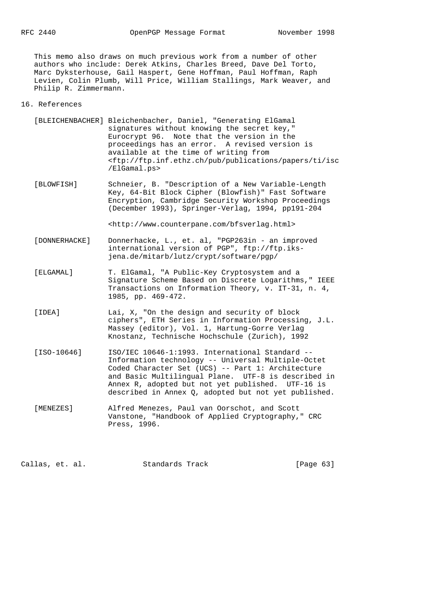This memo also draws on much previous work from a number of other authors who include: Derek Atkins, Charles Breed, Dave Del Torto, Marc Dyksterhouse, Gail Haspert, Gene Hoffman, Paul Hoffman, Raph Levien, Colin Plumb, Will Price, William Stallings, Mark Weaver, and Philip R. Zimmermann.

## 16. References

- [BLEICHENBACHER] Bleichenbacher, Daniel, "Generating ElGamal signatures without knowing the secret key," Eurocrypt 96. Note that the version in the proceedings has an error. A revised version is available at the time of writing from <ftp://ftp.inf.ethz.ch/pub/publications/papers/ti/isc /ElGamal.ps>
- [BLOWFISH] Schneier, B. "Description of a New Variable-Length Key, 64-Bit Block Cipher (Blowfish)" Fast Software Encryption, Cambridge Security Workshop Proceedings (December 1993), Springer-Verlag, 1994, pp191-204

<http://www.counterpane.com/bfsverlag.html>

- [DONNERHACKE] Donnerhacke, L., et. al, "PGP263in an improved international version of PGP", ftp://ftp.iks jena.de/mitarb/lutz/crypt/software/pgp/
- [ELGAMAL] T. ElGamal, "A Public-Key Cryptosystem and a Signature Scheme Based on Discrete Logarithms," IEEE Transactions on Information Theory, v. IT-31, n. 4, 1985, pp. 469-472.
- [IDEA] Lai, X, "On the design and security of block ciphers", ETH Series in Information Processing, J.L. Massey (editor), Vol. 1, Hartung-Gorre Verlag Knostanz, Technische Hochschule (Zurich), 1992
- [ISO-10646] ISO/IEC 10646-1:1993. International Standard -- Information technology -- Universal Multiple-Octet Coded Character Set (UCS) -- Part 1: Architecture and Basic Multilingual Plane. UTF-8 is described in Annex R, adopted but not yet published. UTF-16 is described in Annex Q, adopted but not yet published.
- [MENEZES] Alfred Menezes, Paul van Oorschot, and Scott Vanstone, "Handbook of Applied Cryptography," CRC Press, 1996.

Callas, et. al. Standards Track [Page 63]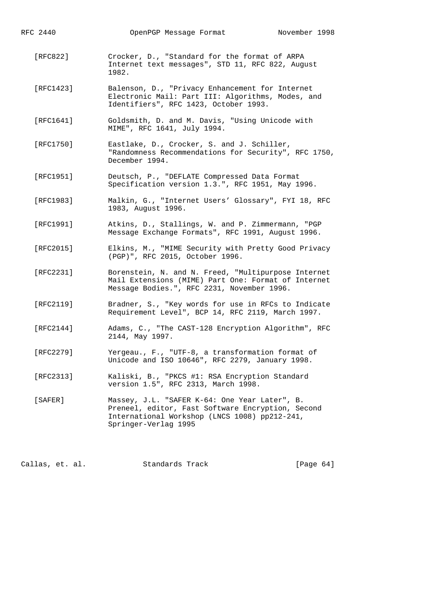| RFC 2440  | OpenPGP Message Format                                                                                                                                                      | November 1998 |
|-----------|-----------------------------------------------------------------------------------------------------------------------------------------------------------------------------|---------------|
| [RFC822]  | Crocker, D., "Standard for the format of ARPA<br>Internet text messages", STD 11, RFC 822, August<br>1982.                                                                  |               |
| [RFC1423] | Balenson, D., "Privacy Enhancement for Internet<br>Electronic Mail: Part III: Algorithms, Modes, and<br>Identifiers", RFC 1423, October 1993.                               |               |
| [RFC1641] | Goldsmith, D. and M. Davis, "Using Unicode with<br>MIME", RFC 1641, July 1994.                                                                                              |               |
| [RTC1750] | Eastlake, D., Crocker, S. and J. Schiller,<br>"Randomness Recommendations for Security", RFC 1750,<br>December 1994.                                                        |               |
| [RFC1951] | Deutsch, P., "DEFLATE Compressed Data Format<br>Specification version 1.3.", RFC 1951, May 1996.                                                                            |               |
| [RFC1983] | Malkin, G., "Internet Users' Glossary", FYI 18, RFC<br>1983, August 1996.                                                                                                   |               |
| [RFC1991] | Atkins, D., Stallings, W. and P. Zimmermann, "PGP<br>Message Exchange Formats", RFC 1991, August 1996.                                                                      |               |
| [RFC2015] | Elkins, M., "MIME Security with Pretty Good Privacy<br>(PGP)", RFC 2015, October 1996.                                                                                      |               |
| [RFC2231] | Borenstein, N. and N. Freed, "Multipurpose Internet<br>Mail Extensions (MIME) Part One: Format of Internet<br>Message Bodies.", RFC 2231, November 1996.                    |               |
| [RFC2119] | Bradner, S., "Key words for use in RFCs to Indicate<br>Requirement Level", BCP 14, RFC 2119, March 1997.                                                                    |               |
| [RFC2144] | Adams, C., "The CAST-128 Encryption Algorithm", RFC<br>2144, May 1997.                                                                                                      |               |
| [RFC2279] | Yergeau., F., "UTF-8, a transformation format of<br>Unicode and ISO 10646", RFC 2279, January 1998.                                                                         |               |
| [RFC2313] | Kaliski, B., "PKCS #1: RSA Encryption Standard<br>version 1.5", RFC 2313, March 1998.                                                                                       |               |
| [SAFER]   | Massey, J.L. "SAFER K-64: One Year Later", B.<br>Preneel, editor, Fast Software Encryption, Second<br>International Workshop (LNCS 1008) pp212-241,<br>Springer-Verlag 1995 |               |

Callas, et. al. Standards Track [Page 64]